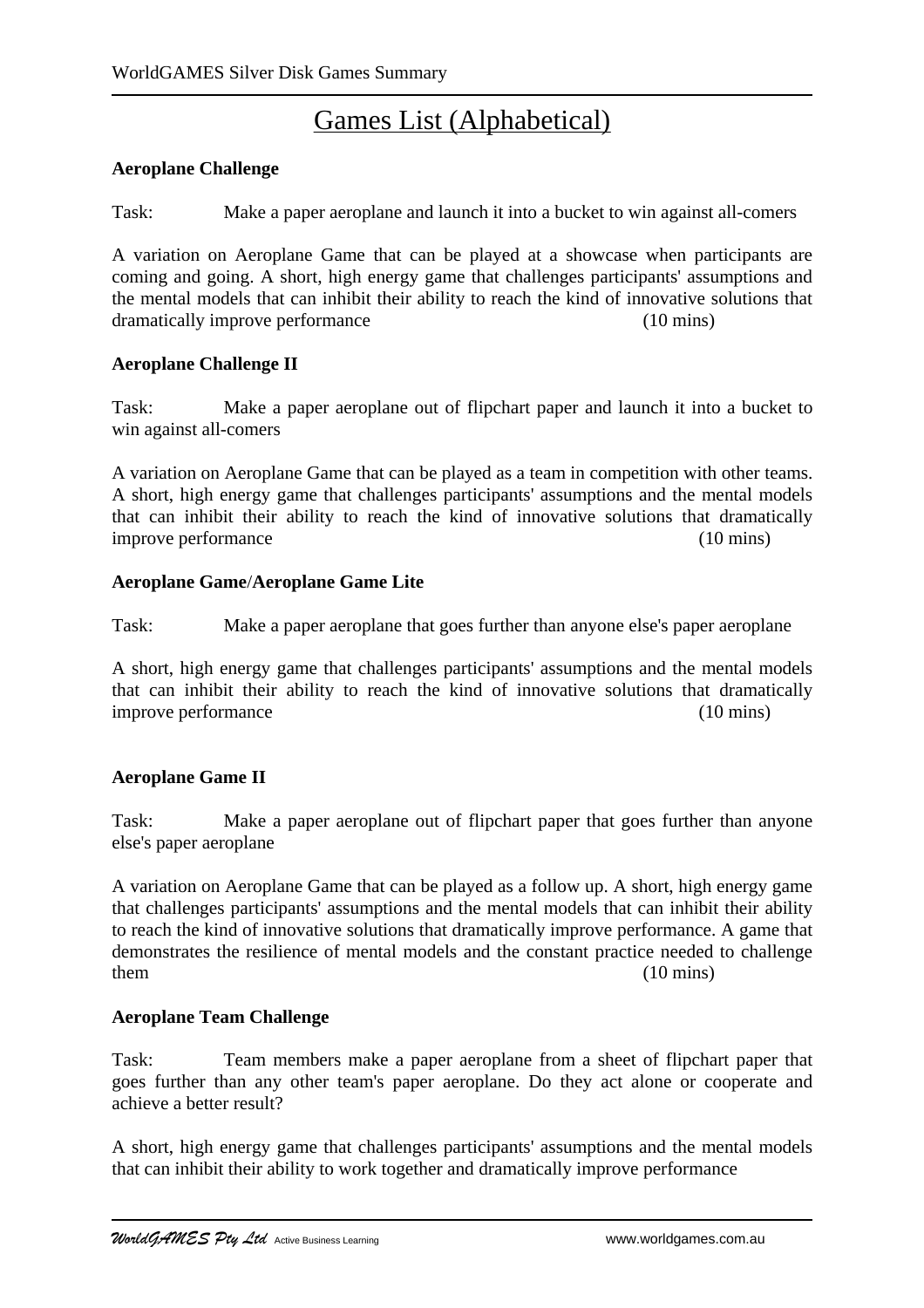# Games List (Alphabetical)

### **Aeroplane Challenge**

Task: Make a paper aeroplane and launch it into a bucket to win against all-comers

A variation on Aeroplane Game that can be played at a showcase when participants are coming and going. A short, high energy game that challenges participants' assumptions and the mental models that can inhibit their ability to reach the kind of innovative solutions that dramatically improve performance (10 mins)

### **Aeroplane Challenge II**

Task: Make a paper aeroplane out of flipchart paper and launch it into a bucket to win against all-comers

A variation on Aeroplane Game that can be played as a team in competition with other teams. A short, high energy game that challenges participants' assumptions and the mental models that can inhibit their ability to reach the kind of innovative solutions that dramatically improve performance (10 mins)

### **Aeroplane Game**/**Aeroplane Game Lite**

Task: Make a paper aeroplane that goes further than anyone else's paper aeroplane

A short, high energy game that challenges participants' assumptions and the mental models that can inhibit their ability to reach the kind of innovative solutions that dramatically improve performance (10 mins)

### **Aeroplane Game II**

Task: Make a paper aeroplane out of flipchart paper that goes further than anyone else's paper aeroplane

A variation on Aeroplane Game that can be played as a follow up. A short, high energy game that challenges participants' assumptions and the mental models that can inhibit their ability to reach the kind of innovative solutions that dramatically improve performance. A game that demonstrates the resilience of mental models and the constant practice needed to challenge them (10 mins)

### **Aeroplane Team Challenge**

Task: Team members make a paper aeroplane from a sheet of flipchart paper that goes further than any other team's paper aeroplane. Do they act alone or cooperate and achieve a better result?

A short, high energy game that challenges participants' assumptions and the mental models that can inhibit their ability to work together and dramatically improve performance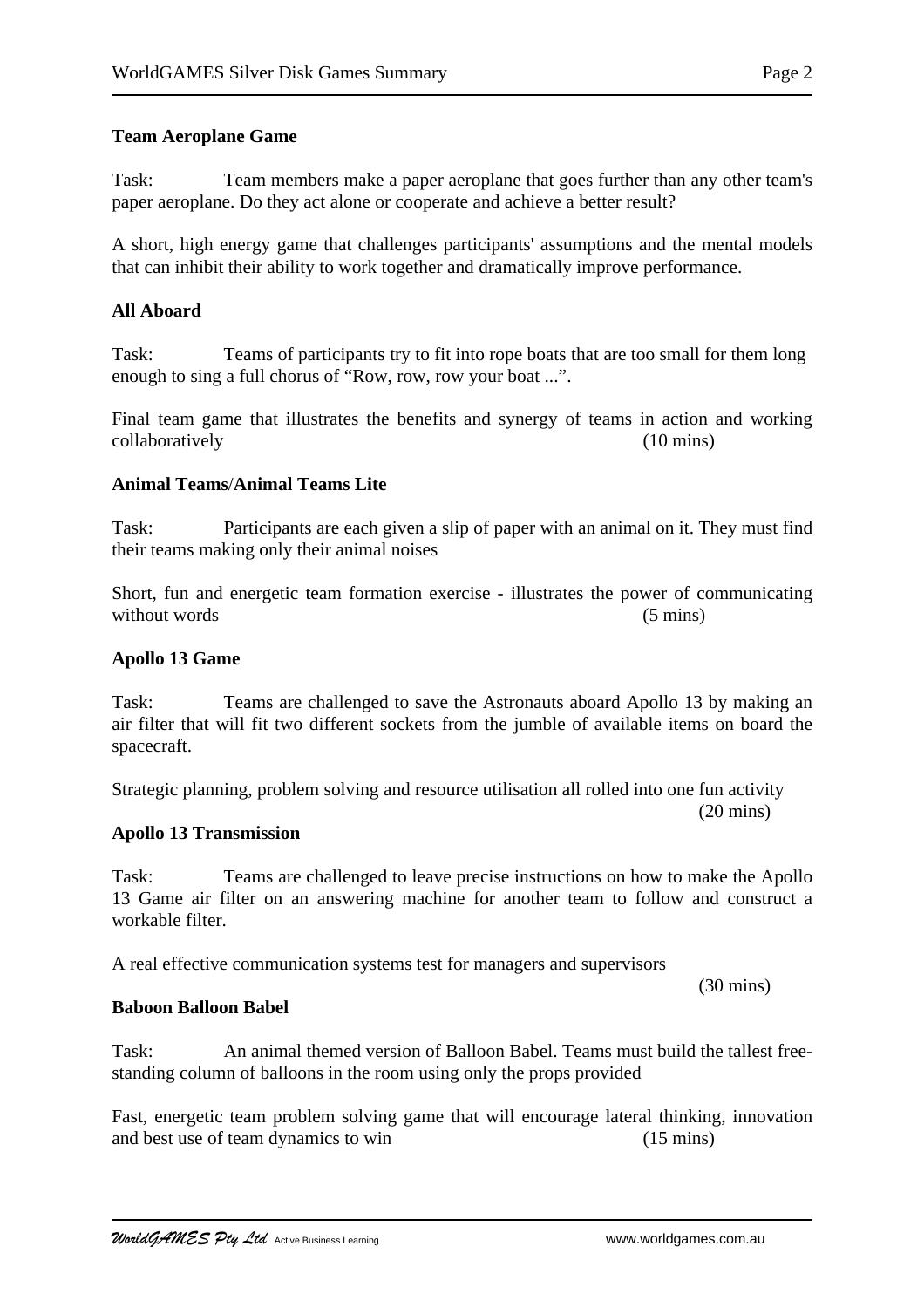#### **Team Aeroplane Game**

Task: Team members make a paper aeroplane that goes further than any other team's paper aeroplane. Do they act alone or cooperate and achieve a better result?

A short, high energy game that challenges participants' assumptions and the mental models that can inhibit their ability to work together and dramatically improve performance.

#### **All Aboard**

Task: Teams of participants try to fit into rope boats that are too small for them long enough to sing a full chorus of "Row, row, row your boat ...".

Final team game that illustrates the benefits and synergy of teams in action and working collaboratively (10 mins)

#### **Animal Teams**/**Animal Teams Lite**

Task: Participants are each given a slip of paper with an animal on it. They must find their teams making only their animal noises

Short, fun and energetic team formation exercise - illustrates the power of communicating without words (5 mins)

#### **Apollo 13 Game**

Task: Teams are challenged to save the Astronauts aboard Apollo 13 by making an air filter that will fit two different sockets from the jumble of available items on board the spacecraft.

Strategic planning, problem solving and resource utilisation all rolled into one fun activity

#### **Apollo 13 Transmission**

Task: Teams are challenged to leave precise instructions on how to make the Apollo 13 Game air filter on an answering machine for another team to follow and construct a workable filter.

A real effective communication systems test for managers and supervisors

**Baboon Balloon Babel**

Task: An animal themed version of Balloon Babel. Teams must build the tallest freestanding column of balloons in the room using only the props provided

Fast, energetic team problem solving game that will encourage lateral thinking, innovation and best use of team dynamics to win (15 mins)

(30 mins)

(20 mins)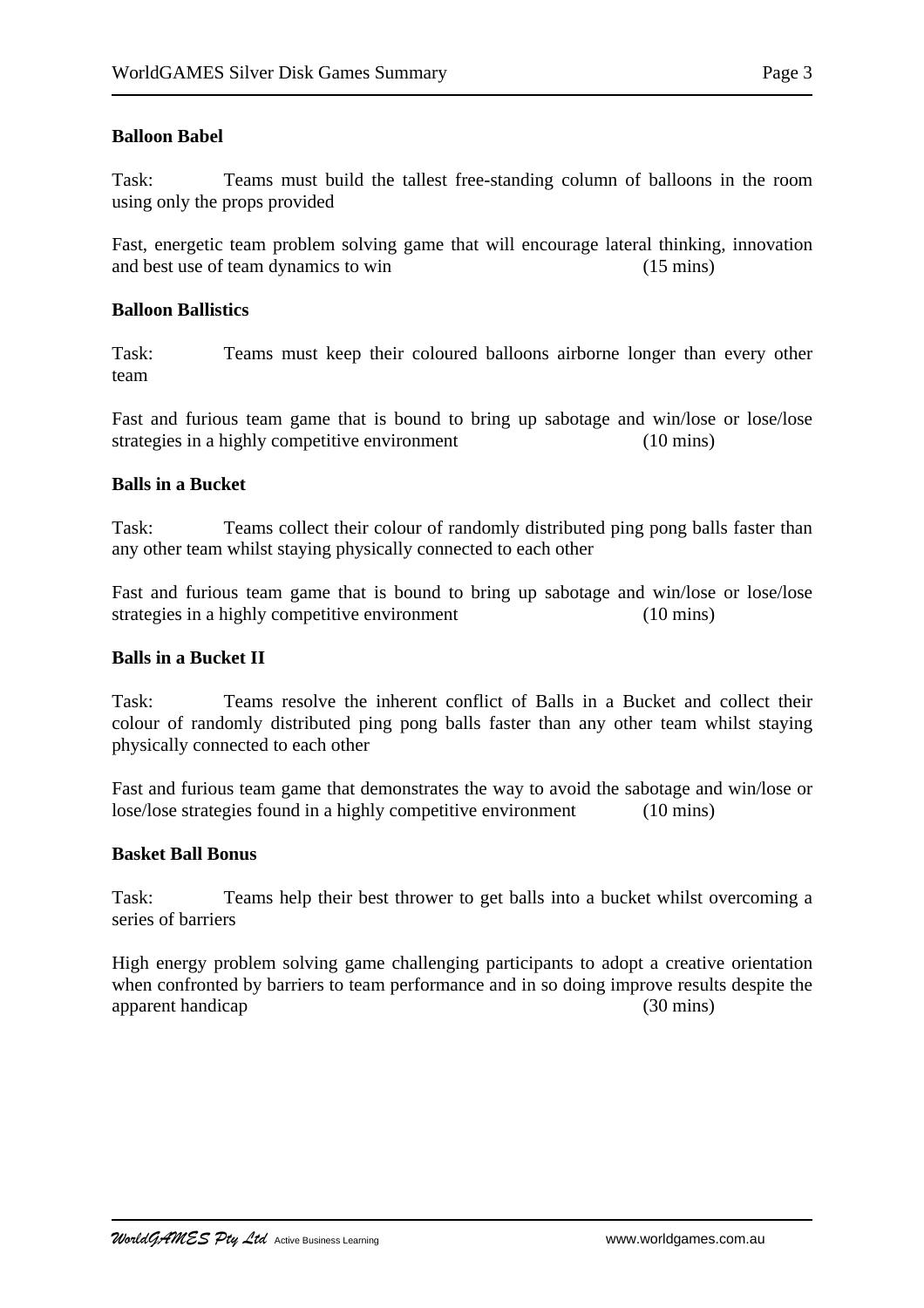Task: Teams must build the tallest free-standing column of balloons in the room using only the props provided

Fast, energetic team problem solving game that will encourage lateral thinking, innovation and best use of team dynamics to win (15 mins)

#### **Balloon Ballistics**

Task: Teams must keep their coloured balloons airborne longer than every other team

Fast and furious team game that is bound to bring up sabotage and win/lose or lose/lose strategies in a highly competitive environment (10 mins)

### **Balls in a Bucket**

Task: Teams collect their colour of randomly distributed ping pong balls faster than any other team whilst staying physically connected to each other

Fast and furious team game that is bound to bring up sabotage and win/lose or lose/lose strategies in a highly competitive environment (10 mins)

#### **Balls in a Bucket II**

Task: Teams resolve the inherent conflict of Balls in a Bucket and collect their colour of randomly distributed ping pong balls faster than any other team whilst staying physically connected to each other

Fast and furious team game that demonstrates the way to avoid the sabotage and win/lose or lose/lose strategies found in a highly competitive environment (10 mins)

#### **Basket Ball Bonus**

Task: Teams help their best thrower to get balls into a bucket whilst overcoming a series of barriers

High energy problem solving game challenging participants to adopt a creative orientation when confronted by barriers to team performance and in so doing improve results despite the apparent handicap (30 mins)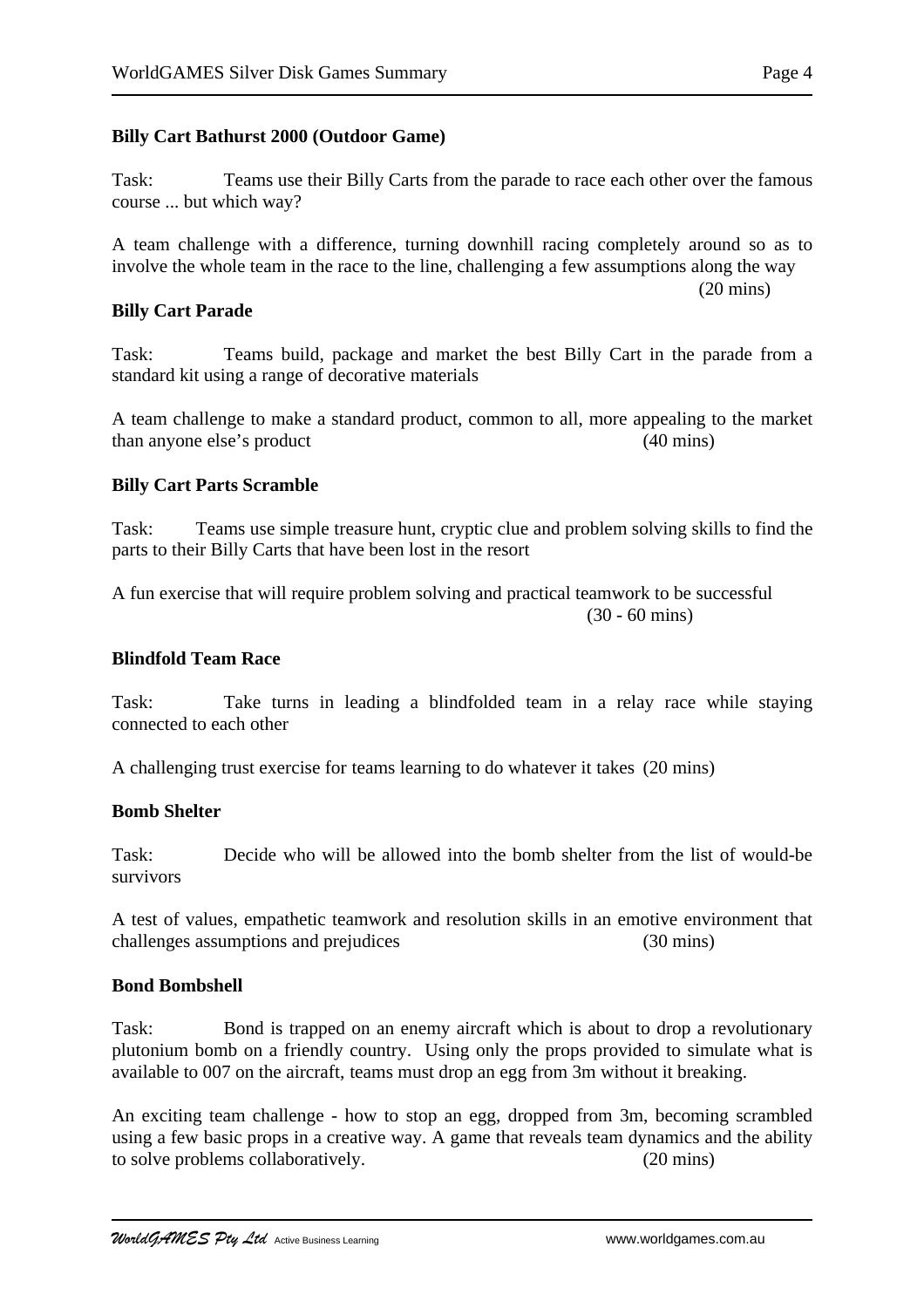### **Billy Cart Bathurst 2000 (Outdoor Game)**

Task: Teams use their Billy Carts from the parade to race each other over the famous course ... but which way?

A team challenge with a difference, turning downhill racing completely around so as to involve the whole team in the race to the line, challenging a few assumptions along the way (20 mins)

#### **Billy Cart Parade**

Task: Teams build, package and market the best Billy Cart in the parade from a standard kit using a range of decorative materials

A team challenge to make a standard product, common to all, more appealing to the market than anyone else's product (40 mins)

#### **Billy Cart Parts Scramble**

Task: Teams use simple treasure hunt, cryptic clue and problem solving skills to find the parts to their Billy Carts that have been lost in the resort

A fun exercise that will require problem solving and practical teamwork to be successful (30 - 60 mins)

### **Blindfold Team Race**

Task: Take turns in leading a blindfolded team in a relay race while staying connected to each other

A challenging trust exercise for teams learning to do whatever it takes (20 mins)

#### **Bomb Shelter**

Task: Decide who will be allowed into the bomb shelter from the list of would-be survivors

A test of values, empathetic teamwork and resolution skills in an emotive environment that challenges assumptions and prejudices (30 mins)

#### **Bond Bombshell**

Task: Bond is trapped on an enemy aircraft which is about to drop a revolutionary plutonium bomb on a friendly country. Using only the props provided to simulate what is available to 007 on the aircraft, teams must drop an egg from 3m without it breaking.

An exciting team challenge - how to stop an egg, dropped from 3m, becoming scrambled using a few basic props in a creative way. A game that reveals team dynamics and the ability to solve problems collaboratively. (20 mins)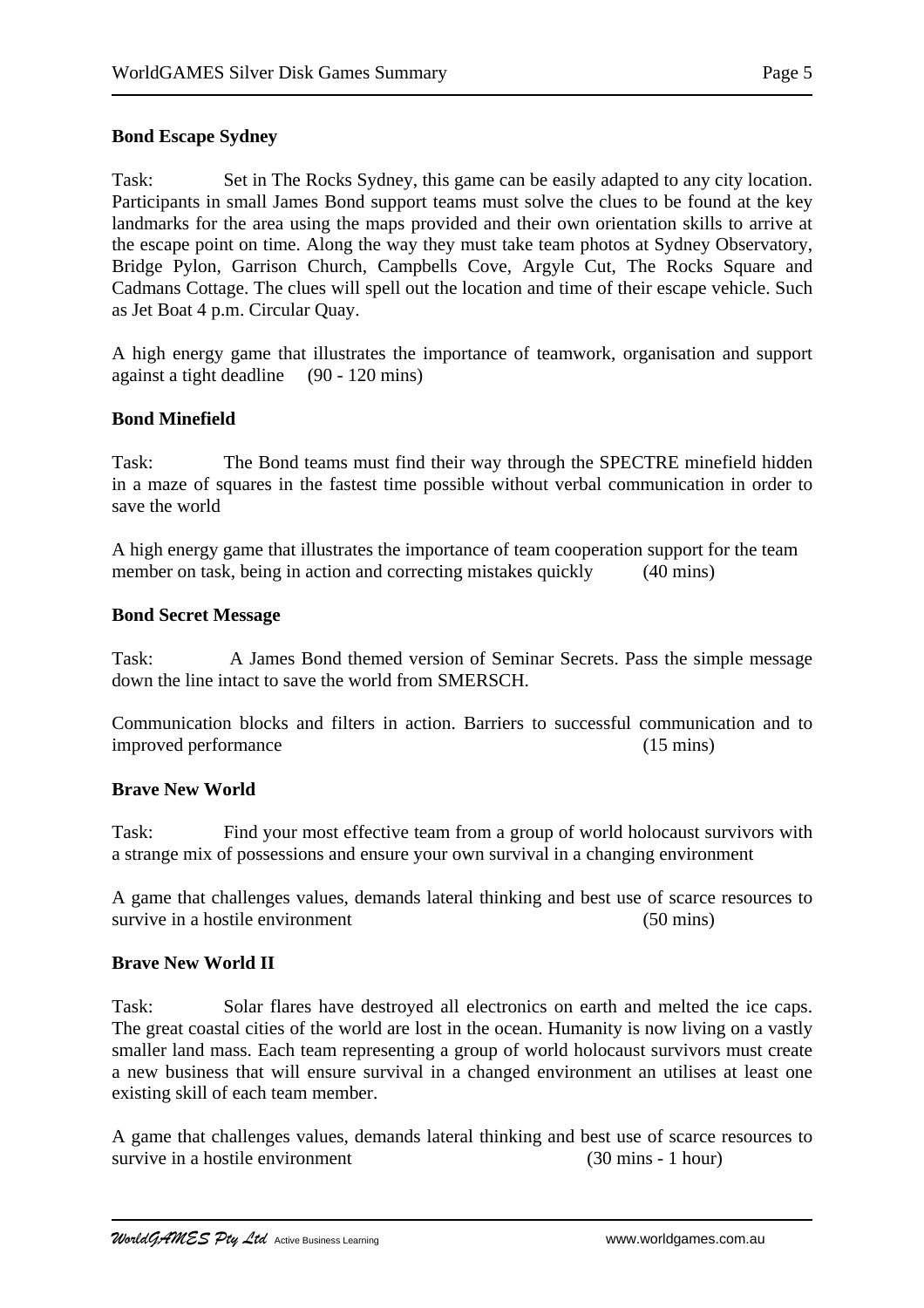# **Bond Escape Sydney**

Task: Set in The Rocks Sydney, this game can be easily adapted to any city location. Participants in small James Bond support teams must solve the clues to be found at the key landmarks for the area using the maps provided and their own orientation skills to arrive at the escape point on time. Along the way they must take team photos at Sydney Observatory, Bridge Pylon, Garrison Church, Campbells Cove, Argyle Cut, The Rocks Square and Cadmans Cottage. The clues will spell out the location and time of their escape vehicle. Such as Jet Boat 4 p.m. Circular Quay.

A high energy game that illustrates the importance of teamwork, organisation and support against a tight deadline (90 - 120 mins)

# **Bond Minefield**

Task: The Bond teams must find their way through the SPECTRE minefield hidden in a maze of squares in the fastest time possible without verbal communication in order to save the world

A high energy game that illustrates the importance of team cooperation support for the team member on task, being in action and correcting mistakes quickly (40 mins)

### **Bond Secret Message**

Task: A James Bond themed version of Seminar Secrets. Pass the simple message down the line intact to save the world from SMERSCH.

Communication blocks and filters in action. Barriers to successful communication and to improved performance (15 mins)

### **Brave New World**

Task: Find your most effective team from a group of world holocaust survivors with a strange mix of possessions and ensure your own survival in a changing environment

A game that challenges values, demands lateral thinking and best use of scarce resources to survive in a hostile environment (50 mins)

### **Brave New World II**

Task: Solar flares have destroyed all electronics on earth and melted the ice caps. The great coastal cities of the world are lost in the ocean. Humanity is now living on a vastly smaller land mass. Each team representing a group of world holocaust survivors must create a new business that will ensure survival in a changed environment an utilises at least one existing skill of each team member.

A game that challenges values, demands lateral thinking and best use of scarce resources to survive in a hostile environment (30 mins - 1 hour)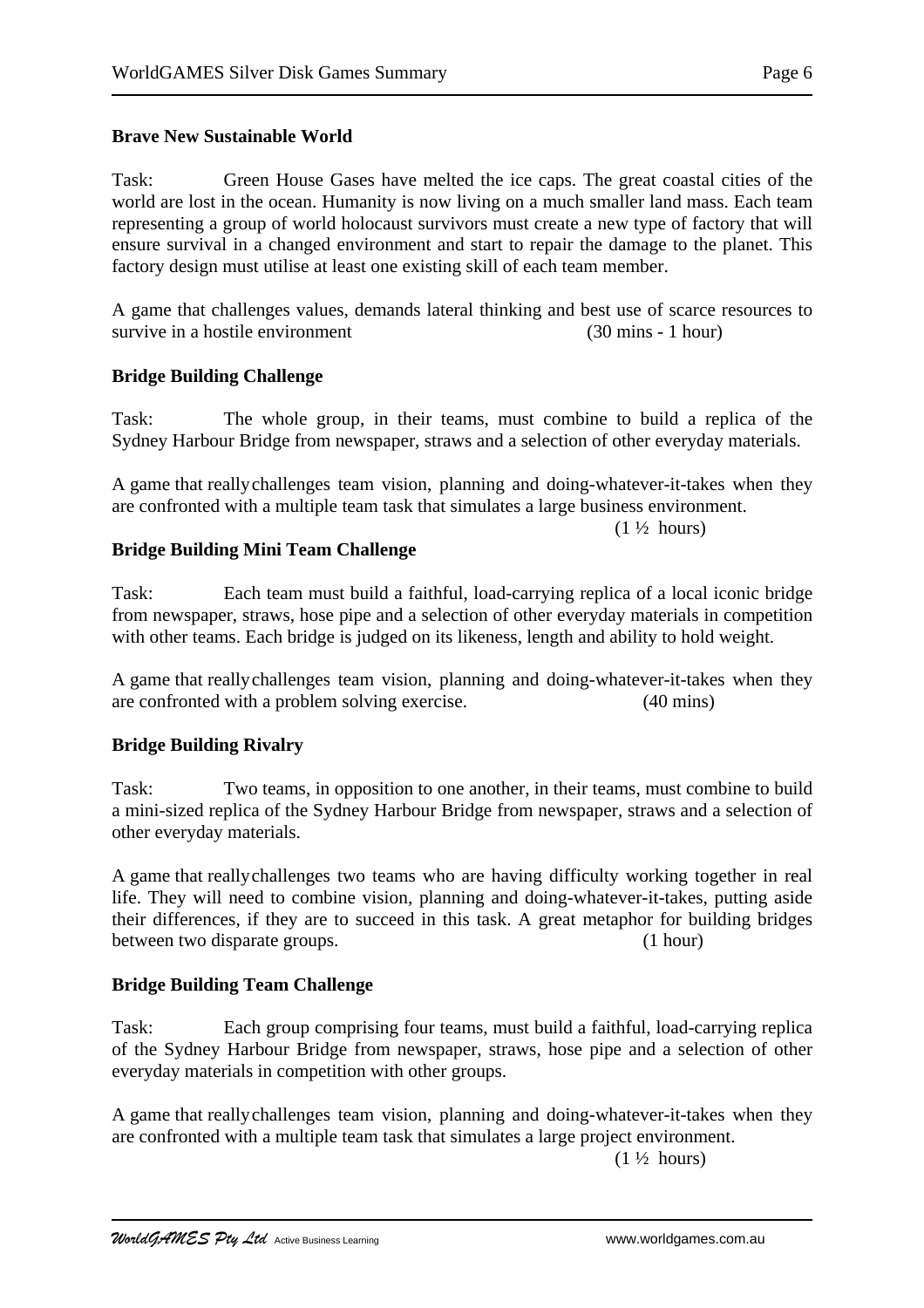Task: Green House Gases have melted the ice caps. The great coastal cities of the world are lost in the ocean. Humanity is now living on a much smaller land mass. Each team representing a group of world holocaust survivors must create a new type of factory that will ensure survival in a changed environment and start to repair the damage to the planet. This factory design must utilise at least one existing skill of each team member.

A game that challenges values, demands lateral thinking and best use of scarce resources to survive in a hostile environment (30 mins - 1 hour)

### **Bridge Building Challenge**

Task: The whole group, in their teams, must combine to build a replica of the Sydney Harbour Bridge from newspaper, straws and a selection of other everyday materials.

A game that reallychallenges team vision, planning and doing-whatever-it-takes when they are confronted with a multiple team task that simulates a large business environment.

 $(1\frac{1}{2} \text{ hours})$ 

### **Bridge Building Mini Team Challenge**

Task: Each team must build a faithful, load-carrying replica of a local iconic bridge from newspaper, straws, hose pipe and a selection of other everyday materials in competition with other teams. Each bridge is judged on its likeness, length and ability to hold weight.

A game that reallychallenges team vision, planning and doing-whatever-it-takes when they are confronted with a problem solving exercise. (40 mins)

### **Bridge Building Rivalry**

Task: Two teams, in opposition to one another, in their teams, must combine to build a mini-sized replica of the Sydney Harbour Bridge from newspaper, straws and a selection of other everyday materials.

A game that reallychallenges two teams who are having difficulty working together in real life. They will need to combine vision, planning and doing-whatever-it-takes, putting aside their differences, if they are to succeed in this task. A great metaphor for building bridges between two disparate groups. (1 hour)

### **Bridge Building Team Challenge**

Task: Each group comprising four teams, must build a faithful, load-carrying replica of the Sydney Harbour Bridge from newspaper, straws, hose pipe and a selection of other everyday materials in competition with other groups.

A game that reallychallenges team vision, planning and doing-whatever-it-takes when they are confronted with a multiple team task that simulates a large project environment.

 $(1 \frac{1}{2} \text{ hours})$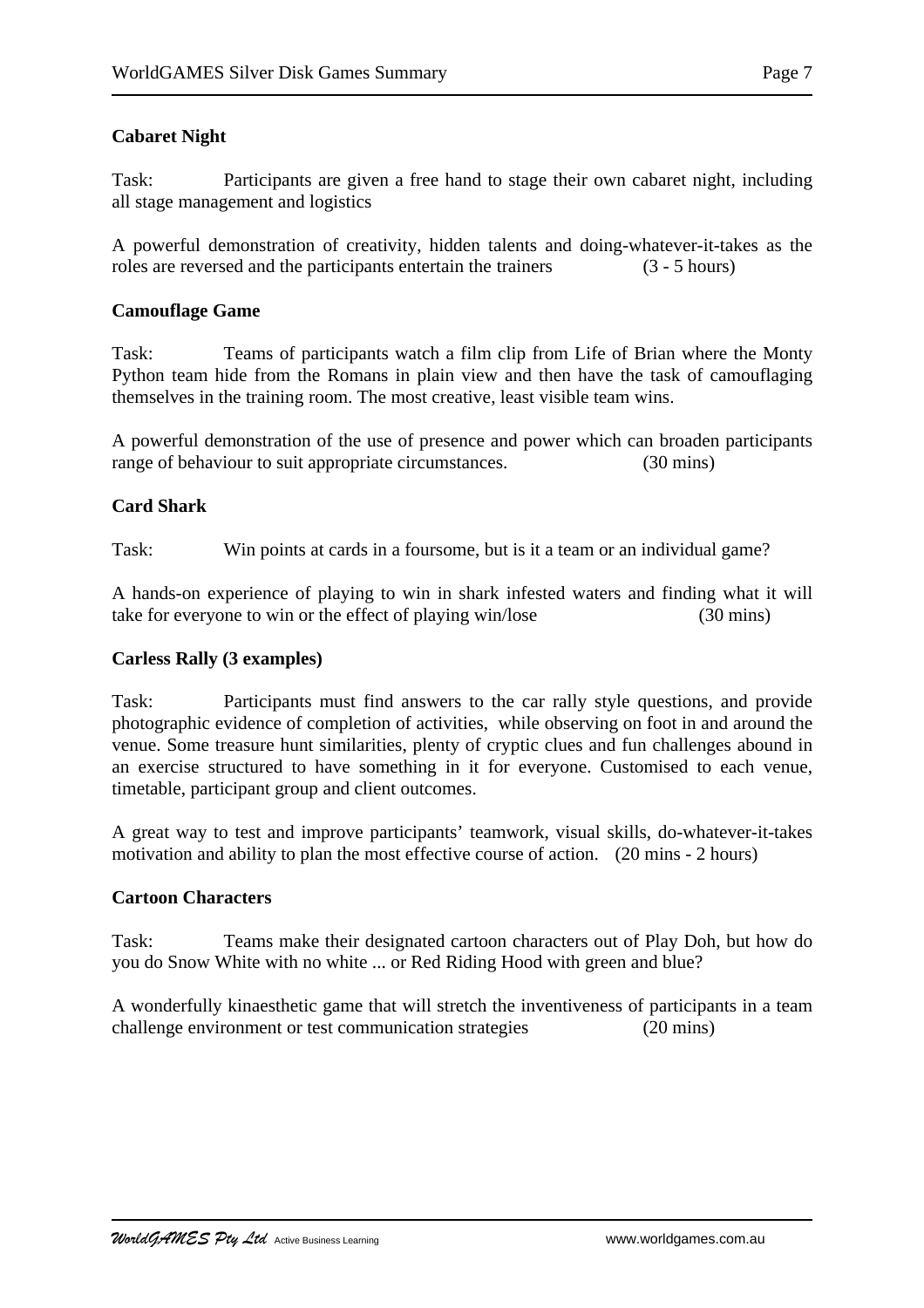# **Cabaret Night**

Task: Participants are given a free hand to stage their own cabaret night, including all stage management and logistics

A powerful demonstration of creativity, hidden talents and doing-whatever-it-takes as the roles are reversed and the participants entertain the trainers (3 - 5 hours)

### **Camouflage Game**

Task: Teams of participants watch a film clip from Life of Brian where the Monty Python team hide from the Romans in plain view and then have the task of camouflaging themselves in the training room. The most creative, least visible team wins.

A powerful demonstration of the use of presence and power which can broaden participants range of behaviour to suit appropriate circumstances. (30 mins)

### **Card Shark**

Task: Win points at cards in a foursome, but is it a team or an individual game?

A hands-on experience of playing to win in shark infested waters and finding what it will take for everyone to win or the effect of playing win/lose (30 mins)

### **Carless Rally (3 examples)**

Task: Participants must find answers to the car rally style questions, and provide photographic evidence of completion of activities, while observing on foot in and around the venue. Some treasure hunt similarities, plenty of cryptic clues and fun challenges abound in an exercise structured to have something in it for everyone. Customised to each venue, timetable, participant group and client outcomes.

A great way to test and improve participants' teamwork, visual skills, do-whatever-it-takes motivation and ability to plan the most effective course of action. (20 mins - 2 hours)

### **Cartoon Characters**

Task: Teams make their designated cartoon characters out of Play Doh, but how do you do Snow White with no white ... or Red Riding Hood with green and blue?

A wonderfully kinaesthetic game that will stretch the inventiveness of participants in a team challenge environment or test communication strategies (20 mins)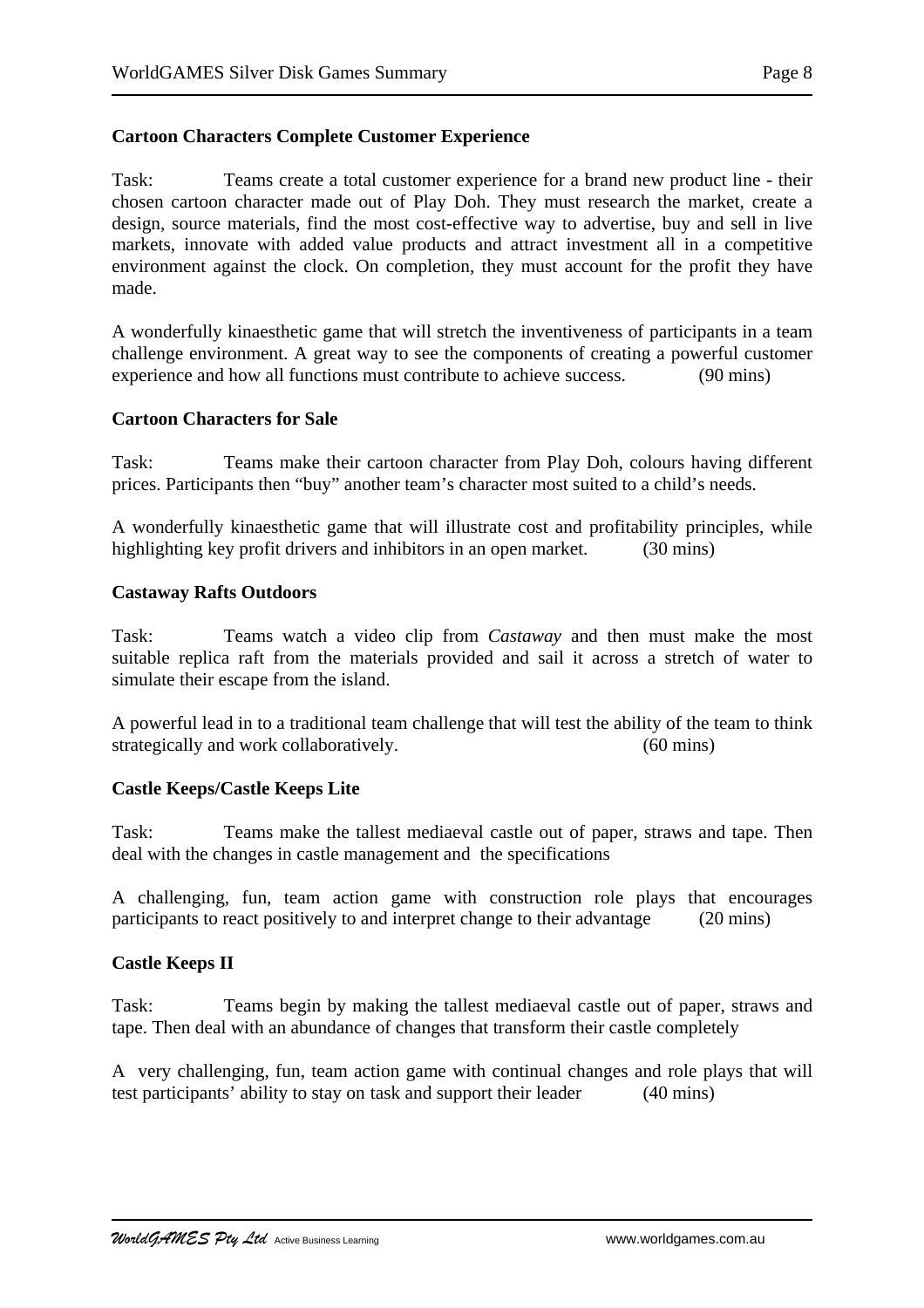# **Cartoon Characters Complete Customer Experience**

Task: Teams create a total customer experience for a brand new product line - their chosen cartoon character made out of Play Doh. They must research the market, create a design, source materials, find the most cost-effective way to advertise, buy and sell in live markets, innovate with added value products and attract investment all in a competitive environment against the clock. On completion, they must account for the profit they have made.

A wonderfully kinaesthetic game that will stretch the inventiveness of participants in a team challenge environment. A great way to see the components of creating a powerful customer experience and how all functions must contribute to achieve success. (90 mins)

### **Cartoon Characters for Sale**

Task: Teams make their cartoon character from Play Doh, colours having different prices. Participants then "buy" another team's character most suited to a child's needs.

A wonderfully kinaesthetic game that will illustrate cost and profitability principles, while highlighting key profit drivers and inhibitors in an open market. (30 mins)

### **Castaway Rafts Outdoors**

Task: Teams watch a video clip from *Castaway* and then must make the most suitable replica raft from the materials provided and sail it across a stretch of water to simulate their escape from the island.

A powerful lead in to a traditional team challenge that will test the ability of the team to think strategically and work collaboratively. (60 mins)

### **Castle Keeps/Castle Keeps Lite**

Task: Teams make the tallest mediaeval castle out of paper, straws and tape. Then deal with the changes in castle management and the specifications

A challenging, fun, team action game with construction role plays that encourages participants to react positively to and interpret change to their advantage (20 mins)

### **Castle Keeps II**

Task: Teams begin by making the tallest mediaeval castle out of paper, straws and tape. Then deal with an abundance of changes that transform their castle completely

A very challenging, fun, team action game with continual changes and role plays that will test participants' ability to stay on task and support their leader (40 mins)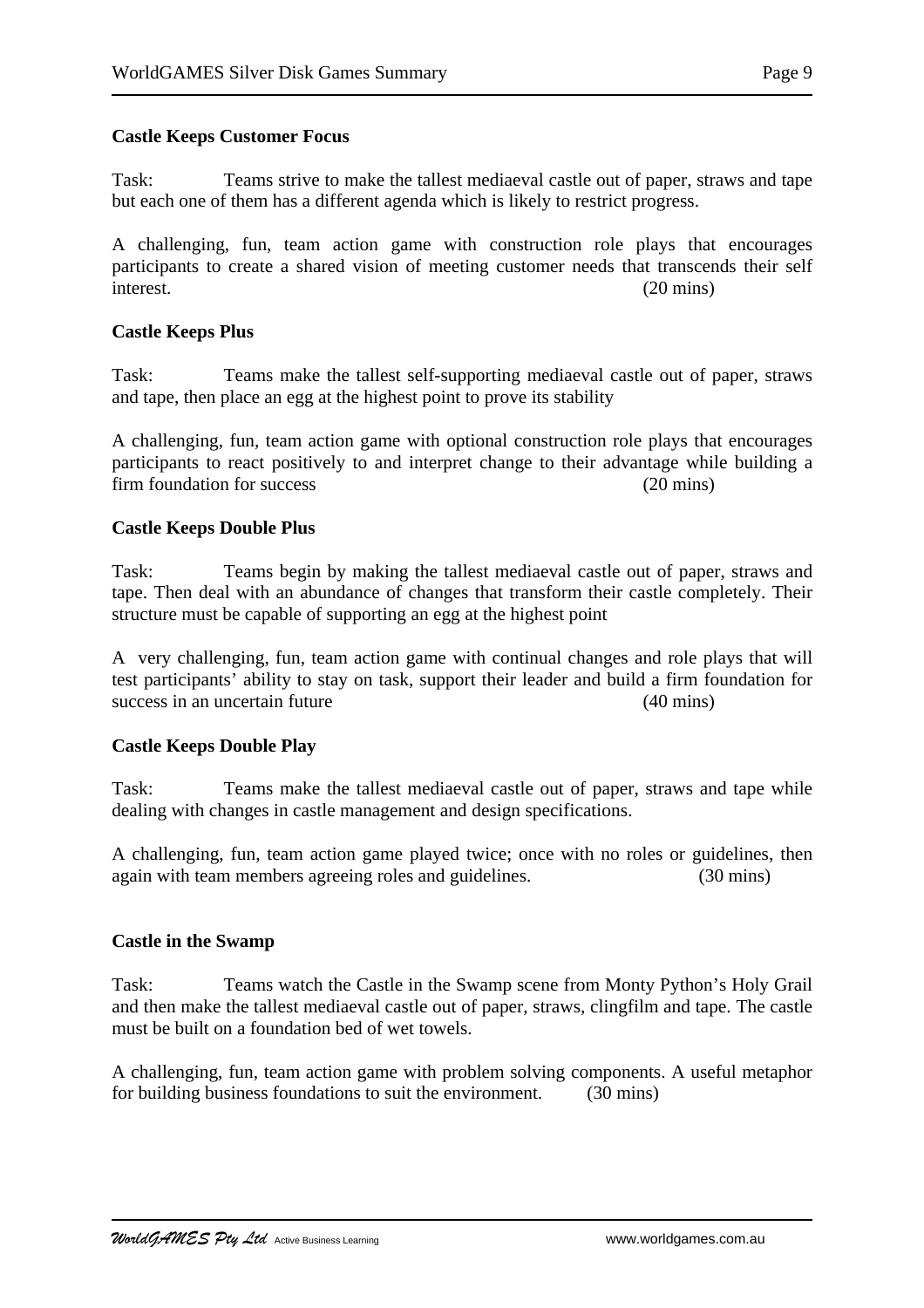Task: Teams strive to make the tallest mediaeval castle out of paper, straws and tape but each one of them has a different agenda which is likely to restrict progress.

A challenging, fun, team action game with construction role plays that encourages participants to create a shared vision of meeting customer needs that transcends their self interest. (20 mins)

### **Castle Keeps Plus**

Task: Teams make the tallest self-supporting mediaeval castle out of paper, straws and tape, then place an egg at the highest point to prove its stability

A challenging, fun, team action game with optional construction role plays that encourages participants to react positively to and interpret change to their advantage while building a firm foundation for success (20 mins)

### **Castle Keeps Double Plus**

Task: Teams begin by making the tallest mediaeval castle out of paper, straws and tape. Then deal with an abundance of changes that transform their castle completely. Their structure must be capable of supporting an egg at the highest point

A very challenging, fun, team action game with continual changes and role plays that will test participants' ability to stay on task, support their leader and build a firm foundation for success in an uncertain future (40 mins)

#### **Castle Keeps Double Play**

Task: Teams make the tallest mediaeval castle out of paper, straws and tape while dealing with changes in castle management and design specifications.

A challenging, fun, team action game played twice; once with no roles or guidelines, then again with team members agreeing roles and guidelines. (30 mins)

### **Castle in the Swamp**

Task: Teams watch the Castle in the Swamp scene from Monty Python's Holy Grail and then make the tallest mediaeval castle out of paper, straws, clingfilm and tape. The castle must be built on a foundation bed of wet towels.

A challenging, fun, team action game with problem solving components. A useful metaphor for building business foundations to suit the environment. (30 mins)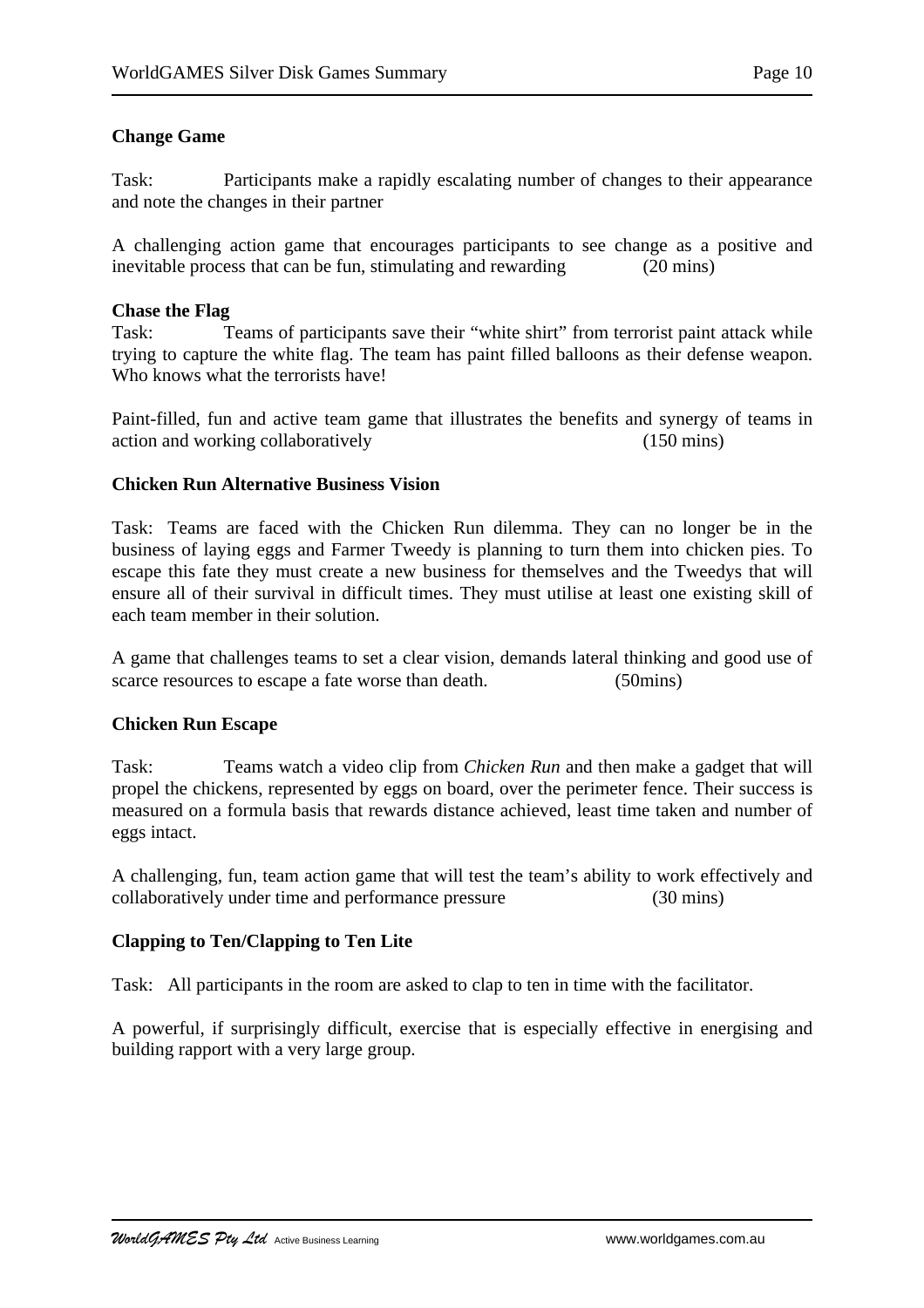# **Change Game**

Task: Participants make a rapidly escalating number of changes to their appearance and note the changes in their partner

A challenging action game that encourages participants to see change as a positive and inevitable process that can be fun, stimulating and rewarding (20 mins)

### **Chase the Flag**

Task: Teams of participants save their "white shirt" from terrorist paint attack while trying to capture the white flag. The team has paint filled balloons as their defense weapon. Who knows what the terrorists have!

Paint-filled, fun and active team game that illustrates the benefits and synergy of teams in action and working collaboratively (150 mins)

### **Chicken Run Alternative Business Vision**

Task: Teams are faced with the Chicken Run dilemma. They can no longer be in the business of laying eggs and Farmer Tweedy is planning to turn them into chicken pies. To escape this fate they must create a new business for themselves and the Tweedys that will ensure all of their survival in difficult times. They must utilise at least one existing skill of each team member in their solution.

A game that challenges teams to set a clear vision, demands lateral thinking and good use of scarce resources to escape a fate worse than death. (50mins)

### **Chicken Run Escape**

Task: Teams watch a video clip from *Chicken Run* and then make a gadget that will propel the chickens, represented by eggs on board, over the perimeter fence. Their success is measured on a formula basis that rewards distance achieved, least time taken and number of eggs intact.

A challenging, fun, team action game that will test the team's ability to work effectively and collaboratively under time and performance pressure (30 mins)

### **Clapping to Ten/Clapping to Ten Lite**

Task: All participants in the room are asked to clap to ten in time with the facilitator.

A powerful, if surprisingly difficult, exercise that is especially effective in energising and building rapport with a very large group.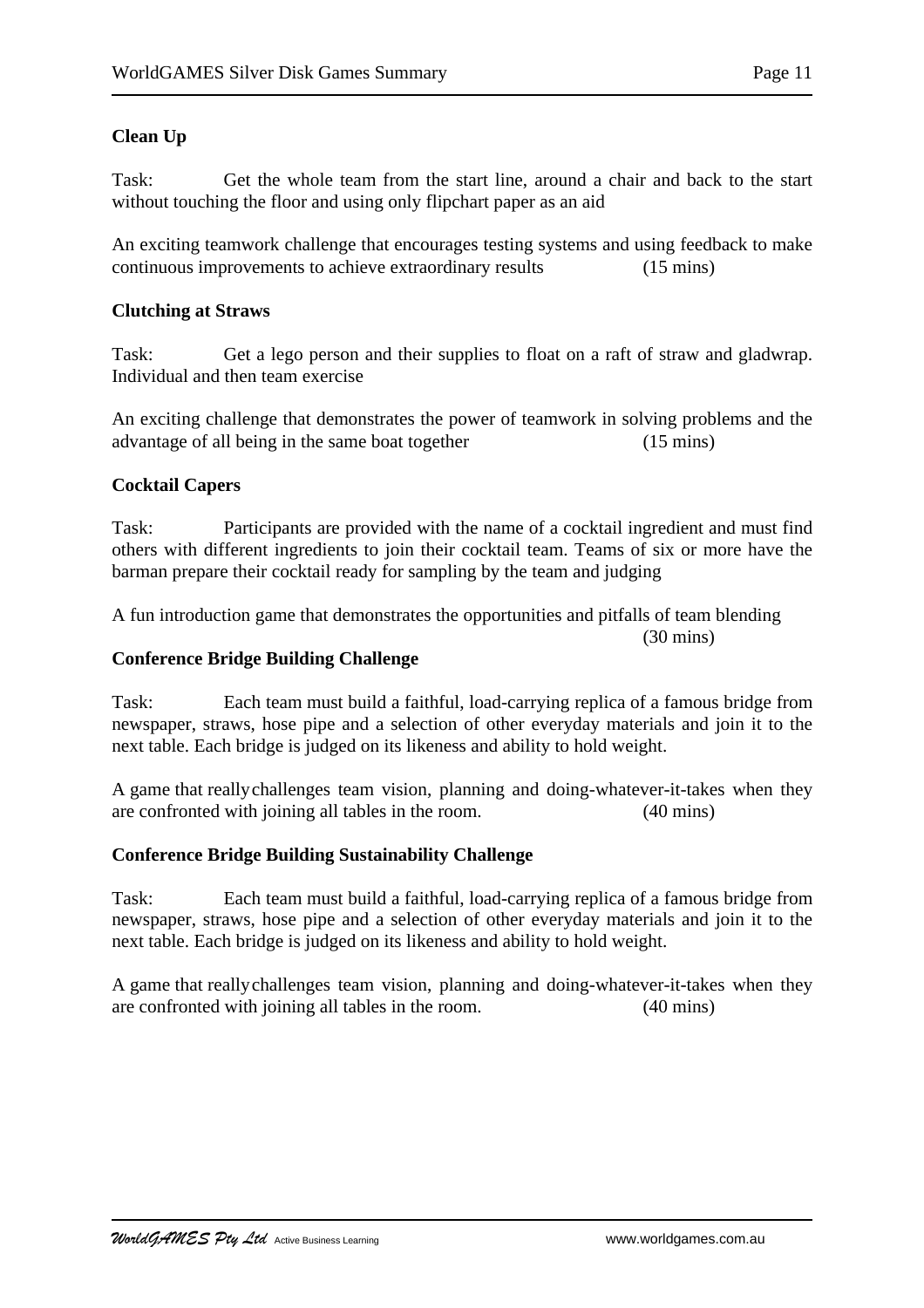# **Clean Up**

Task: Get the whole team from the start line, around a chair and back to the start without touching the floor and using only flipchart paper as an aid

An exciting teamwork challenge that encourages testing systems and using feedback to make continuous improvements to achieve extraordinary results (15 mins)

## **Clutching at Straws**

Task: Get a lego person and their supplies to float on a raft of straw and gladwrap. Individual and then team exercise

An exciting challenge that demonstrates the power of teamwork in solving problems and the advantage of all being in the same boat together (15 mins)

# **Cocktail Capers**

Task: Participants are provided with the name of a cocktail ingredient and must find others with different ingredients to join their cocktail team. Teams of six or more have the barman prepare their cocktail ready for sampling by the team and judging

A fun introduction game that demonstrates the opportunities and pitfalls of team blending

(30 mins)

### **Conference Bridge Building Challenge**

Task: Each team must build a faithful, load-carrying replica of a famous bridge from newspaper, straws, hose pipe and a selection of other everyday materials and join it to the next table. Each bridge is judged on its likeness and ability to hold weight.

A game that reallychallenges team vision, planning and doing-whatever-it-takes when they are confronted with joining all tables in the room. (40 mins)

### **Conference Bridge Building Sustainability Challenge**

Task: Each team must build a faithful, load-carrying replica of a famous bridge from newspaper, straws, hose pipe and a selection of other everyday materials and join it to the next table. Each bridge is judged on its likeness and ability to hold weight.

A game that reallychallenges team vision, planning and doing-whatever-it-takes when they are confronted with joining all tables in the room. (40 mins)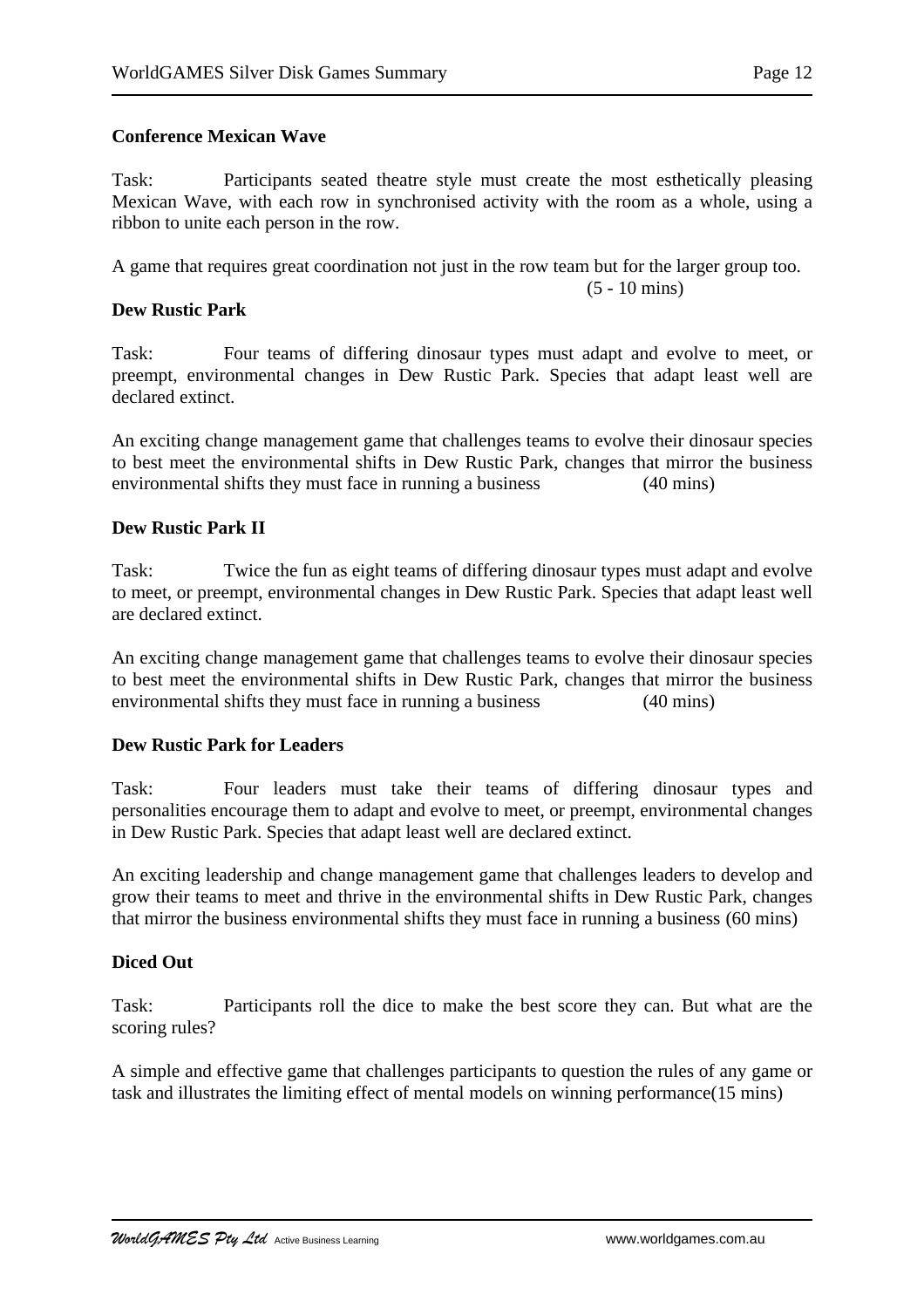### **Conference Mexican Wave**

Task: Participants seated theatre style must create the most esthetically pleasing Mexican Wave, with each row in synchronised activity with the room as a whole, using a ribbon to unite each person in the row.

A game that requires great coordination not just in the row team but for the larger group too.

(5 - 10 mins)

**Dew Rustic Park**

Task: Four teams of differing dinosaur types must adapt and evolve to meet, or preempt, environmental changes in Dew Rustic Park. Species that adapt least well are declared extinct.

An exciting change management game that challenges teams to evolve their dinosaur species to best meet the environmental shifts in Dew Rustic Park, changes that mirror the business environmental shifts they must face in running a business (40 mins)

### **Dew Rustic Park II**

Task: Twice the fun as eight teams of differing dinosaur types must adapt and evolve to meet, or preempt, environmental changes in Dew Rustic Park. Species that adapt least well are declared extinct.

An exciting change management game that challenges teams to evolve their dinosaur species to best meet the environmental shifts in Dew Rustic Park, changes that mirror the business environmental shifts they must face in running a business (40 mins)

### **Dew Rustic Park for Leaders**

Task: Four leaders must take their teams of differing dinosaur types and personalities encourage them to adapt and evolve to meet, or preempt, environmental changes in Dew Rustic Park. Species that adapt least well are declared extinct.

An exciting leadership and change management game that challenges leaders to develop and grow their teams to meet and thrive in the environmental shifts in Dew Rustic Park, changes that mirror the business environmental shifts they must face in running a business (60 mins)

### **Diced Out**

Task: Participants roll the dice to make the best score they can. But what are the scoring rules?

A simple and effective game that challenges participants to question the rules of any game or task and illustrates the limiting effect of mental models on winning performance(15 mins)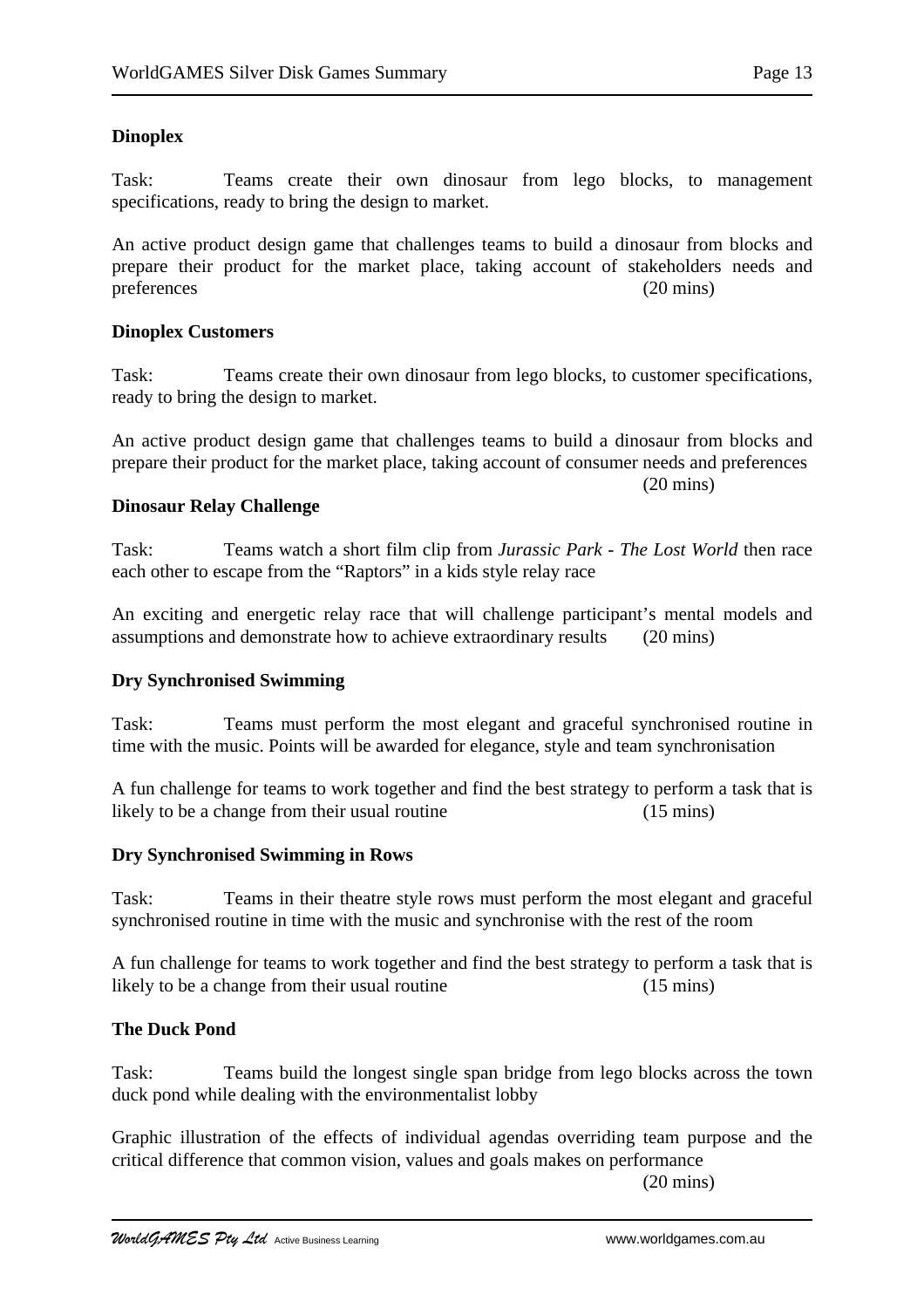# **Dinoplex**

Task: Teams create their own dinosaur from lego blocks, to management specifications, ready to bring the design to market.

An active product design game that challenges teams to build a dinosaur from blocks and prepare their product for the market place, taking account of stakeholders needs and preferences (20 mins)

### **Dinoplex Customers**

Task: Teams create their own dinosaur from lego blocks, to customer specifications, ready to bring the design to market.

An active product design game that challenges teams to build a dinosaur from blocks and prepare their product for the market place, taking account of consumer needs and preferences

# (20 mins)

### **Dinosaur Relay Challenge**

Task: Teams watch a short film clip from *Jurassic Park - The Lost World* then race each other to escape from the "Raptors" in a kids style relay race

An exciting and energetic relay race that will challenge participant's mental models and assumptions and demonstrate how to achieve extraordinary results (20 mins)

### **Dry Synchronised Swimming**

Task: Teams must perform the most elegant and graceful synchronised routine in time with the music. Points will be awarded for elegance, style and team synchronisation

A fun challenge for teams to work together and find the best strategy to perform a task that is likely to be a change from their usual routine (15 mins)

### **Dry Synchronised Swimming in Rows**

Task: Teams in their theatre style rows must perform the most elegant and graceful synchronised routine in time with the music and synchronise with the rest of the room

A fun challenge for teams to work together and find the best strategy to perform a task that is likely to be a change from their usual routine (15 mins)

### **The Duck Pond**

Task: Teams build the longest single span bridge from lego blocks across the town duck pond while dealing with the environmentalist lobby

Graphic illustration of the effects of individual agendas overriding team purpose and the critical difference that common vision, values and goals makes on performance

(20 mins)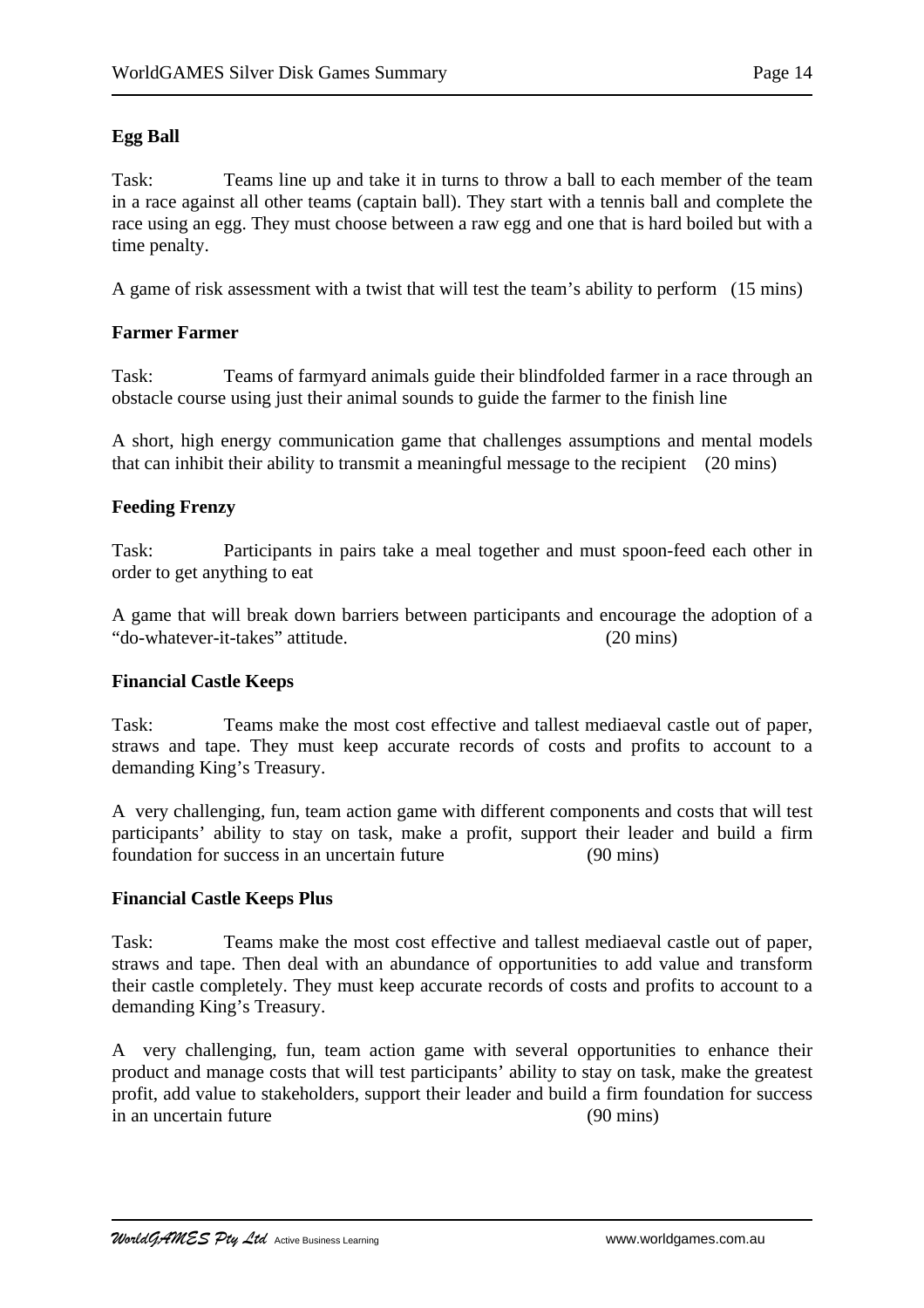# **Egg Ball**

Task: Teams line up and take it in turns to throw a ball to each member of the team in a race against all other teams (captain ball). They start with a tennis ball and complete the race using an egg. They must choose between a raw egg and one that is hard boiled but with a time penalty.

A game of risk assessment with a twist that will test the team's ability to perform (15 mins)

# **Farmer Farmer**

Task: Teams of farmyard animals guide their blindfolded farmer in a race through an obstacle course using just their animal sounds to guide the farmer to the finish line

A short, high energy communication game that challenges assumptions and mental models that can inhibit their ability to transmit a meaningful message to the recipient (20 mins)

# **Feeding Frenzy**

Task: Participants in pairs take a meal together and must spoon-feed each other in order to get anything to eat

A game that will break down barriers between participants and encourage the adoption of a "do-whatever-it-takes" attitude. (20 mins)

### **Financial Castle Keeps**

Task: Teams make the most cost effective and tallest mediaeval castle out of paper, straws and tape. They must keep accurate records of costs and profits to account to a demanding King's Treasury.

A very challenging, fun, team action game with different components and costs that will test participants' ability to stay on task, make a profit, support their leader and build a firm foundation for success in an uncertain future (90 mins)

### **Financial Castle Keeps Plus**

Task: Teams make the most cost effective and tallest mediaeval castle out of paper, straws and tape. Then deal with an abundance of opportunities to add value and transform their castle completely. They must keep accurate records of costs and profits to account to a demanding King's Treasury.

A very challenging, fun, team action game with several opportunities to enhance their product and manage costs that will test participants' ability to stay on task, make the greatest profit, add value to stakeholders, support their leader and build a firm foundation for success in an uncertain future (90 mins)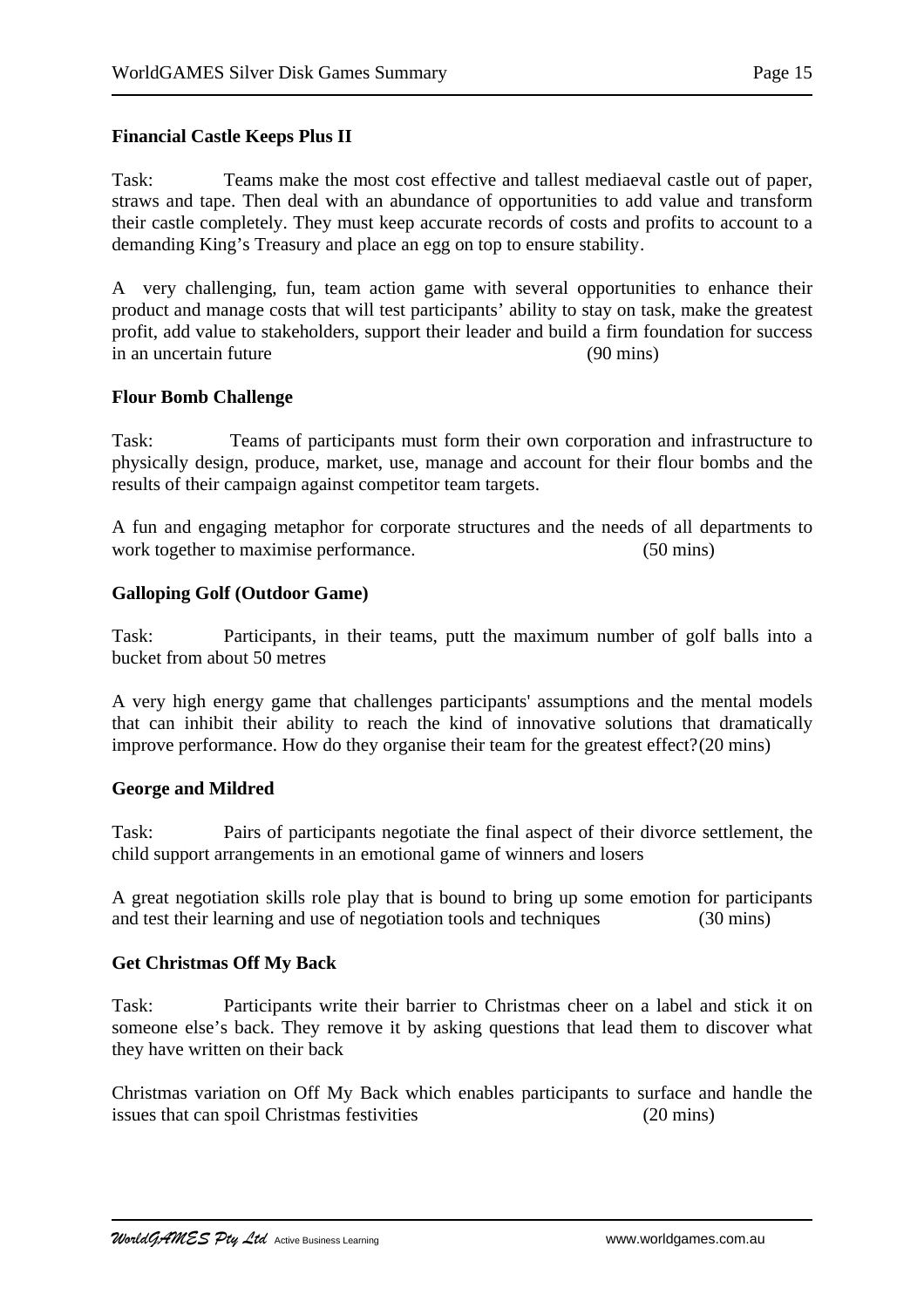### **Financial Castle Keeps Plus II**

Task: Teams make the most cost effective and tallest mediaeval castle out of paper, straws and tape. Then deal with an abundance of opportunities to add value and transform their castle completely. They must keep accurate records of costs and profits to account to a demanding King's Treasury and place an egg on top to ensure stability.

A very challenging, fun, team action game with several opportunities to enhance their product and manage costs that will test participants' ability to stay on task, make the greatest profit, add value to stakeholders, support their leader and build a firm foundation for success in an uncertain future (90 mins)

### **Flour Bomb Challenge**

Task: Teams of participants must form their own corporation and infrastructure to physically design, produce, market, use, manage and account for their flour bombs and the results of their campaign against competitor team targets.

A fun and engaging metaphor for corporate structures and the needs of all departments to work together to maximise performance. (50 mins)

### **Galloping Golf (Outdoor Game)**

Task: Participants, in their teams, putt the maximum number of golf balls into a bucket from about 50 metres

A very high energy game that challenges participants' assumptions and the mental models that can inhibit their ability to reach the kind of innovative solutions that dramatically improve performance. How do they organise their team for the greatest effect?(20 mins)

#### **George and Mildred**

Task: Pairs of participants negotiate the final aspect of their divorce settlement, the child support arrangements in an emotional game of winners and losers

A great negotiation skills role play that is bound to bring up some emotion for participants and test their learning and use of negotiation tools and techniques (30 mins)

### **Get Christmas Off My Back**

Task: Participants write their barrier to Christmas cheer on a label and stick it on someone else's back. They remove it by asking questions that lead them to discover what they have written on their back

Christmas variation on Off My Back which enables participants to surface and handle the issues that can spoil Christmas festivities (20 mins)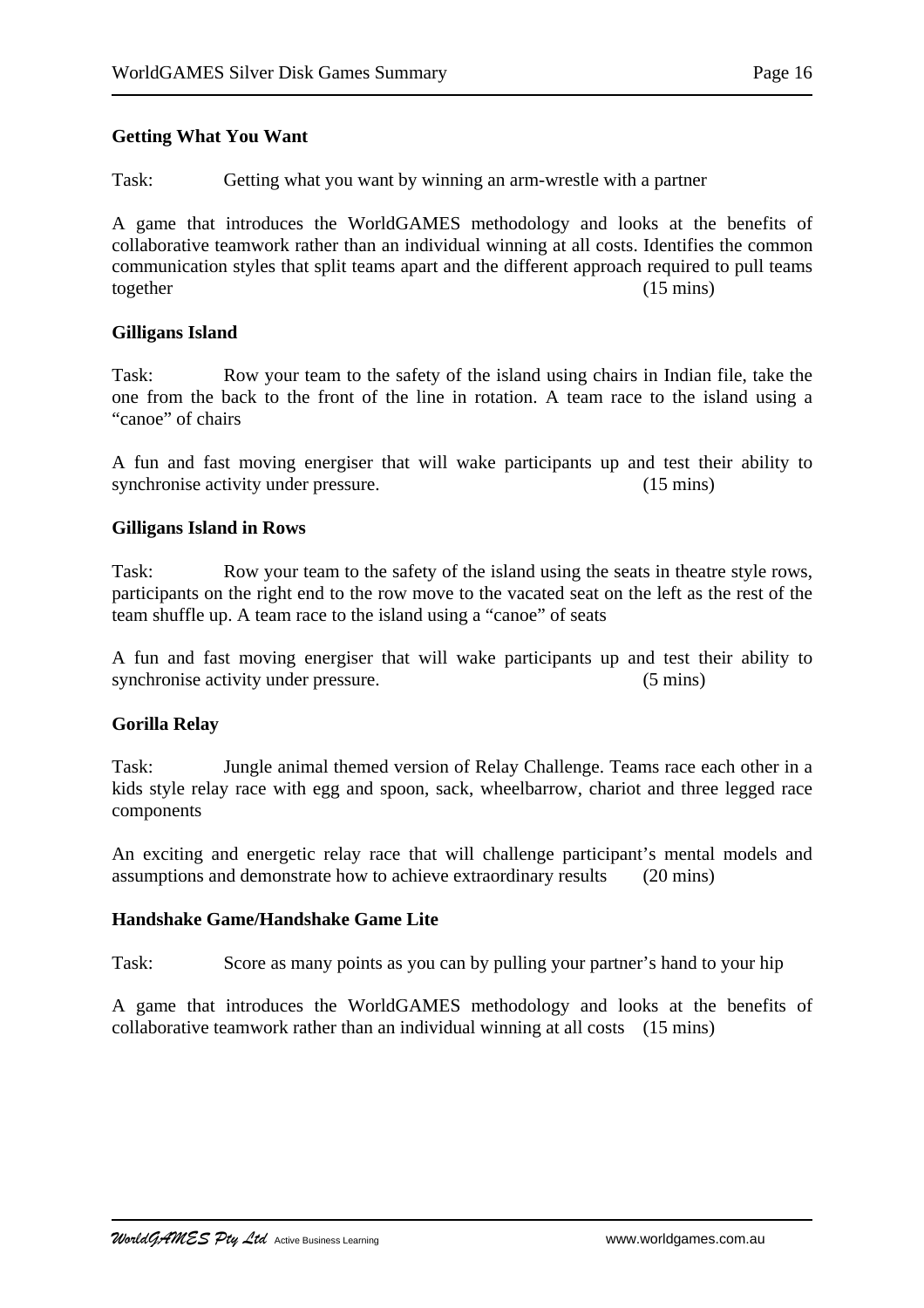### **Getting What You Want**

Task: Getting what you want by winning an arm-wrestle with a partner

A game that introduces the WorldGAMES methodology and looks at the benefits of collaborative teamwork rather than an individual winning at all costs. Identifies the common communication styles that split teams apart and the different approach required to pull teams together (15 mins)

### **Gilligans Island**

Task: Row your team to the safety of the island using chairs in Indian file, take the one from the back to the front of the line in rotation. A team race to the island using a "canoe" of chairs

A fun and fast moving energiser that will wake participants up and test their ability to synchronise activity under pressure. (15 mins)

### **Gilligans Island in Rows**

Task: Row your team to the safety of the island using the seats in theatre style rows, participants on the right end to the row move to the vacated seat on the left as the rest of the team shuffle up. A team race to the island using a "canoe" of seats

A fun and fast moving energiser that will wake participants up and test their ability to synchronise activity under pressure. (5 mins)

### **Gorilla Relay**

Task: Jungle animal themed version of Relay Challenge. Teams race each other in a kids style relay race with egg and spoon, sack, wheelbarrow, chariot and three legged race components

An exciting and energetic relay race that will challenge participant's mental models and assumptions and demonstrate how to achieve extraordinary results (20 mins)

### **Handshake Game/Handshake Game Lite**

Task: Score as many points as you can by pulling your partner's hand to your hip

A game that introduces the WorldGAMES methodology and looks at the benefits of collaborative teamwork rather than an individual winning at all costs (15 mins)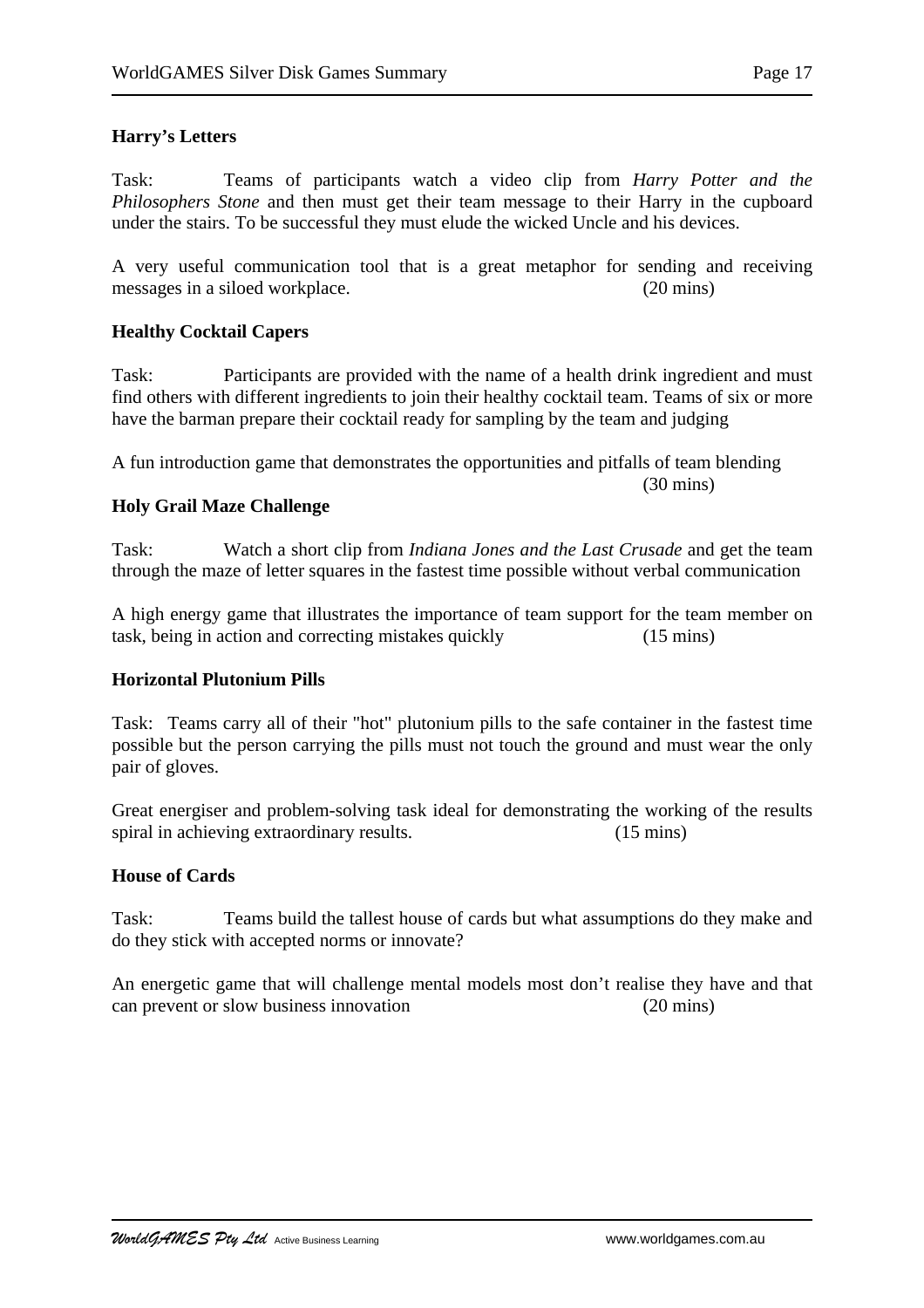# **Harry's Letters**

Task: Teams of participants watch a video clip from *Harry Potter and the Philosophers Stone* and then must get their team message to their Harry in the cupboard under the stairs. To be successful they must elude the wicked Uncle and his devices.

A very useful communication tool that is a great metaphor for sending and receiving messages in a siloed workplace. (20 mins)

### **Healthy Cocktail Capers**

Task: Participants are provided with the name of a health drink ingredient and must find others with different ingredients to join their healthy cocktail team. Teams of six or more have the barman prepare their cocktail ready for sampling by the team and judging

A fun introduction game that demonstrates the opportunities and pitfalls of team blending

#### (30 mins)

### **Holy Grail Maze Challenge**

Task: Watch a short clip from *Indiana Jones and the Last Crusade* and get the team through the maze of letter squares in the fastest time possible without verbal communication

A high energy game that illustrates the importance of team support for the team member on task, being in action and correcting mistakes quickly (15 mins)

### **Horizontal Plutonium Pills**

Task: Teams carry all of their "hot" plutonium pills to the safe container in the fastest time possible but the person carrying the pills must not touch the ground and must wear the only pair of gloves.

Great energiser and problem-solving task ideal for demonstrating the working of the results spiral in achieving extraordinary results. (15 mins)

# **House of Cards**

Task: Teams build the tallest house of cards but what assumptions do they make and do they stick with accepted norms or innovate?

An energetic game that will challenge mental models most don't realise they have and that can prevent or slow business innovation (20 mins)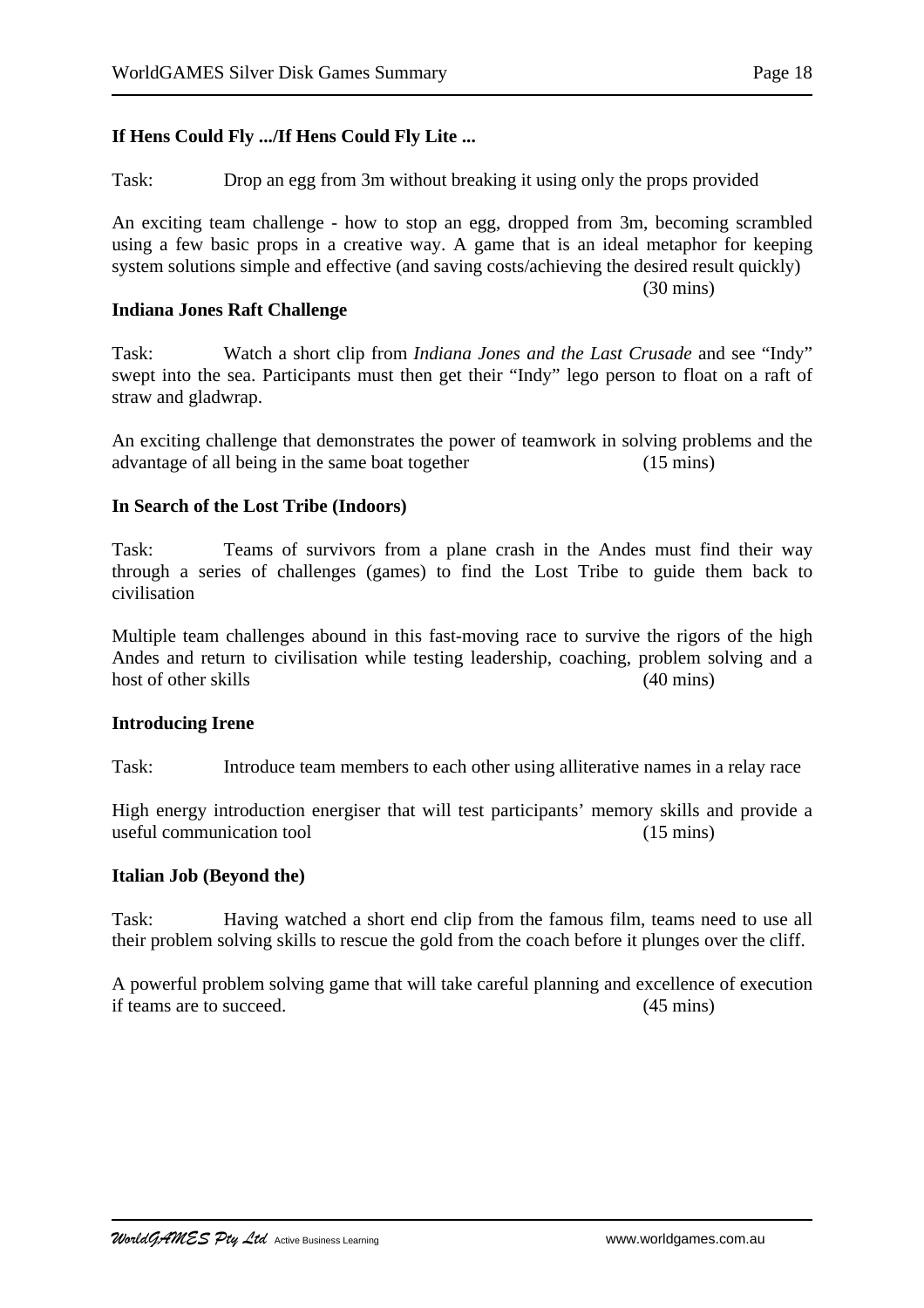## **If Hens Could Fly .../If Hens Could Fly Lite ...**

Task: Drop an egg from 3m without breaking it using only the props provided

An exciting team challenge - how to stop an egg, dropped from 3m, becoming scrambled using a few basic props in a creative way. A game that is an ideal metaphor for keeping system solutions simple and effective (and saving costs/achieving the desired result quickly) (30 mins)

#### **Indiana Jones Raft Challenge**

Task: Watch a short clip from *Indiana Jones and the Last Crusade* and see "Indy" swept into the sea. Participants must then get their "Indy" lego person to float on a raft of straw and gladwrap.

An exciting challenge that demonstrates the power of teamwork in solving problems and the advantage of all being in the same boat together (15 mins)

### **In Search of the Lost Tribe (Indoors)**

Task: Teams of survivors from a plane crash in the Andes must find their way through a series of challenges (games) to find the Lost Tribe to guide them back to civilisation

Multiple team challenges abound in this fast-moving race to survive the rigors of the high Andes and return to civilisation while testing leadership, coaching, problem solving and a host of other skills (40 mins) (30 mins)

#### **Introducing Irene**

Task: Introduce team members to each other using alliterative names in a relay race

High energy introduction energiser that will test participants' memory skills and provide a useful communication tool (15 mins)

#### **Italian Job (Beyond the)**

Task: Having watched a short end clip from the famous film, teams need to use all their problem solving skills to rescue the gold from the coach before it plunges over the cliff.

A powerful problem solving game that will take careful planning and excellence of execution if teams are to succeed. (45 mins)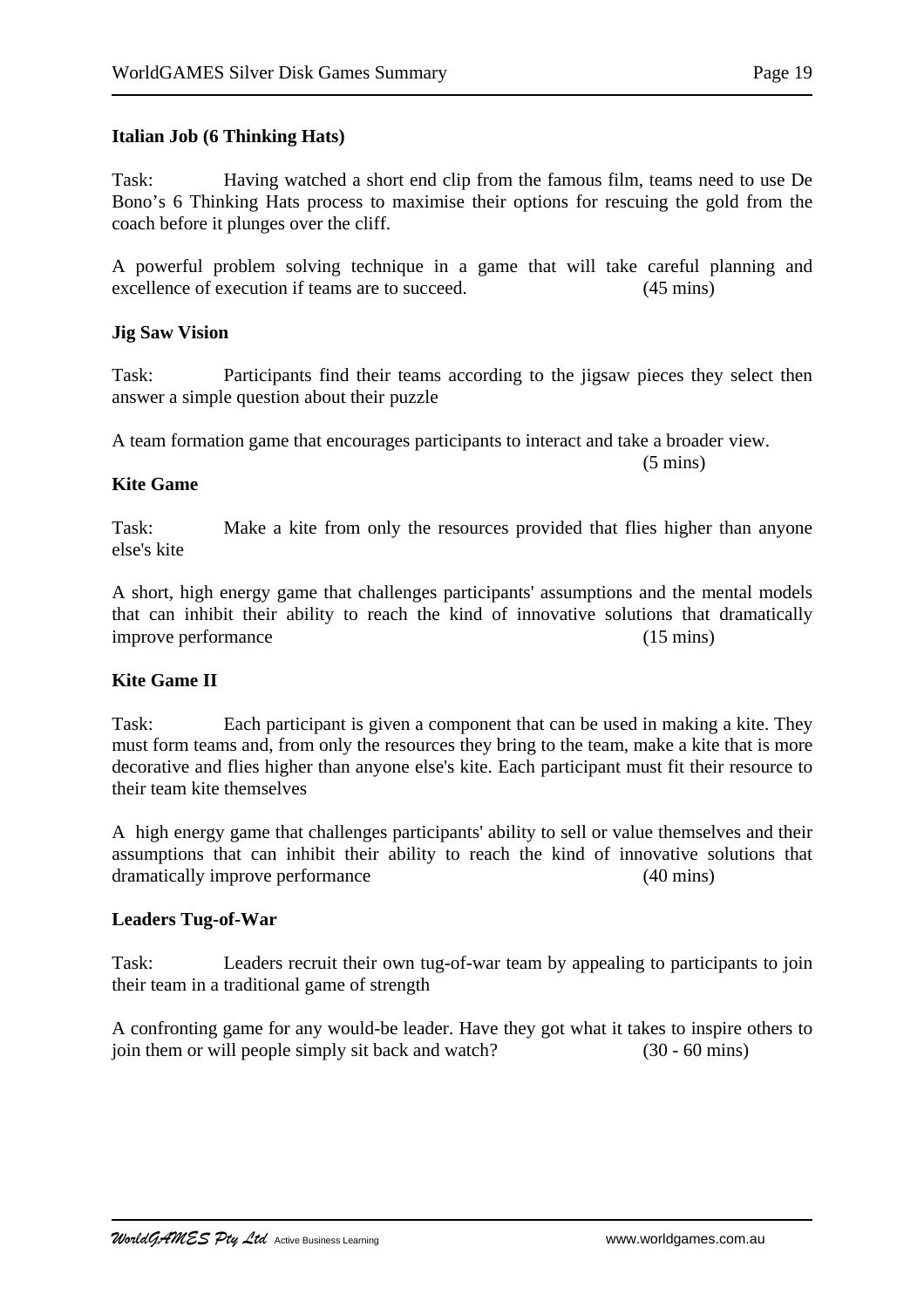#### **Italian Job (6 Thinking Hats)**

Task: Having watched a short end clip from the famous film, teams need to use De Bono's 6 Thinking Hats process to maximise their options for rescuing the gold from the coach before it plunges over the cliff.

A powerful problem solving technique in a game that will take careful planning and excellence of execution if teams are to succeed. (45 mins)

#### **Jig Saw Vision**

Task: Participants find their teams according to the jigsaw pieces they select then answer a simple question about their puzzle

A team formation game that encourages participants to interact and take a broader view.

#### **Kite Game**

Task: Make a kite from only the resources provided that flies higher than anyone else's kite

A short, high energy game that challenges participants' assumptions and the mental models that can inhibit their ability to reach the kind of innovative solutions that dramatically improve performance (15 mins)

#### **Kite Game II**

Task: Each participant is given a component that can be used in making a kite. They must form teams and, from only the resources they bring to the team, make a kite that is more decorative and flies higher than anyone else's kite. Each participant must fit their resource to their team kite themselves

A high energy game that challenges participants' ability to sell or value themselves and their assumptions that can inhibit their ability to reach the kind of innovative solutions that dramatically improve performance (40 mins)

#### **Leaders Tug-of-War**

Task: Leaders recruit their own tug-of-war team by appealing to participants to join their team in a traditional game of strength

A confronting game for any would-be leader. Have they got what it takes to inspire others to join them or will people simply sit back and watch? (30 - 60 mins)

 $(5 \text{ mins})$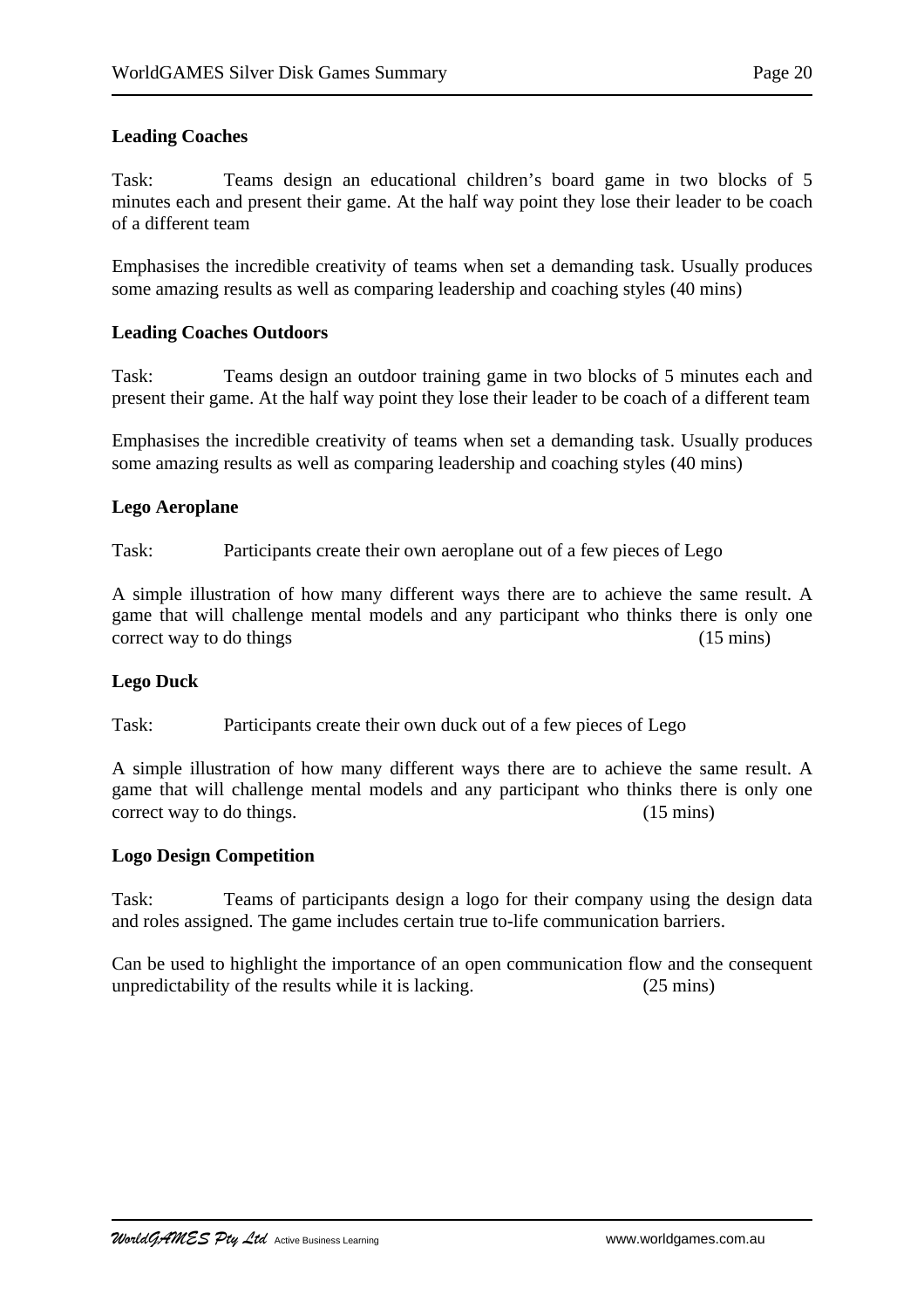# **Leading Coaches**

Task: Teams design an educational children's board game in two blocks of 5 minutes each and present their game. At the half way point they lose their leader to be coach of a different team

Emphasises the incredible creativity of teams when set a demanding task. Usually produces some amazing results as well as comparing leadership and coaching styles (40 mins)

### **Leading Coaches Outdoors**

Task: Teams design an outdoor training game in two blocks of 5 minutes each and present their game. At the half way point they lose their leader to be coach of a different team

Emphasises the incredible creativity of teams when set a demanding task. Usually produces some amazing results as well as comparing leadership and coaching styles (40 mins)

### **Lego Aeroplane**

Task: Participants create their own aeroplane out of a few pieces of Lego

A simple illustration of how many different ways there are to achieve the same result. A game that will challenge mental models and any participant who thinks there is only one correct way to do things (15 mins)

### **Lego Duck**

Task: Participants create their own duck out of a few pieces of Lego

A simple illustration of how many different ways there are to achieve the same result. A game that will challenge mental models and any participant who thinks there is only one correct way to do things. (15 mins)

### **Logo Design Competition**

Task: Teams of participants design a logo for their company using the design data and roles assigned. The game includes certain true to-life communication barriers.

Can be used to highlight the importance of an open communication flow and the consequent unpredictability of the results while it is lacking. (25 mins)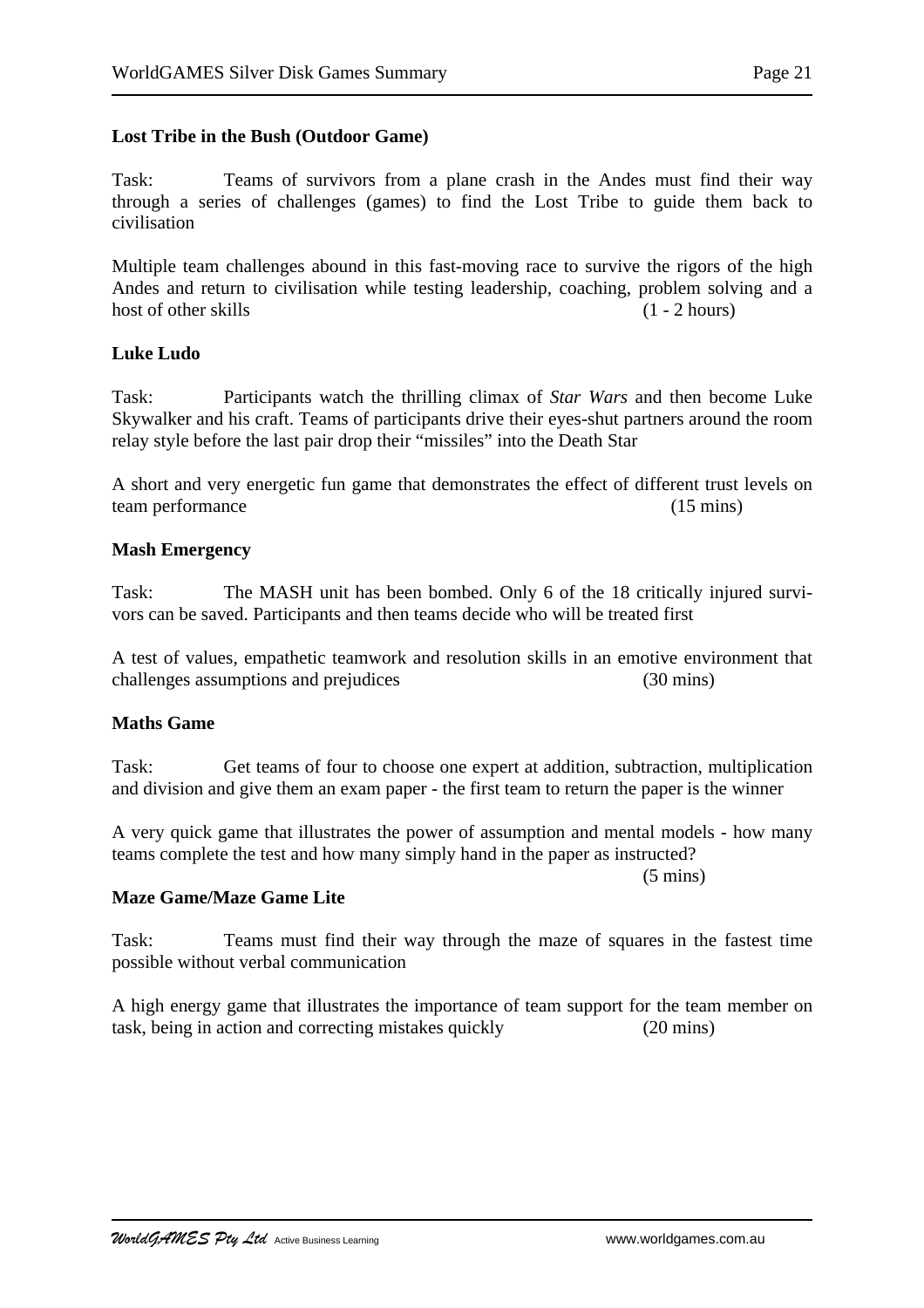### **Lost Tribe in the Bush (Outdoor Game)**

Task: Teams of survivors from a plane crash in the Andes must find their way through a series of challenges (games) to find the Lost Tribe to guide them back to civilisation

Multiple team challenges abound in this fast-moving race to survive the rigors of the high Andes and return to civilisation while testing leadership, coaching, problem solving and a host of other skills (1 - 2 hours)

#### **Luke Ludo**

Task: Participants watch the thrilling climax of *Star Wars* and then become Luke Skywalker and his craft. Teams of participants drive their eyes-shut partners around the room relay style before the last pair drop their "missiles" into the Death Star

A short and very energetic fun game that demonstrates the effect of different trust levels on team performance (15 mins)

#### **Mash Emergency**

Task: The MASH unit has been bombed. Only 6 of the 18 critically injured survivors can be saved. Participants and then teams decide who will be treated first

A test of values, empathetic teamwork and resolution skills in an emotive environment that challenges assumptions and prejudices (30 mins)

#### **Maths Game**

Task: Get teams of four to choose one expert at addition, subtraction, multiplication and division and give them an exam paper - the first team to return the paper is the winner

A very quick game that illustrates the power of assumption and mental models - how many teams complete the test and how many simply hand in the paper as instructed?

(5 mins)

#### **Maze Game/Maze Game Lite**

Task: Teams must find their way through the maze of squares in the fastest time possible without verbal communication

A high energy game that illustrates the importance of team support for the team member on task, being in action and correcting mistakes quickly (20 mins)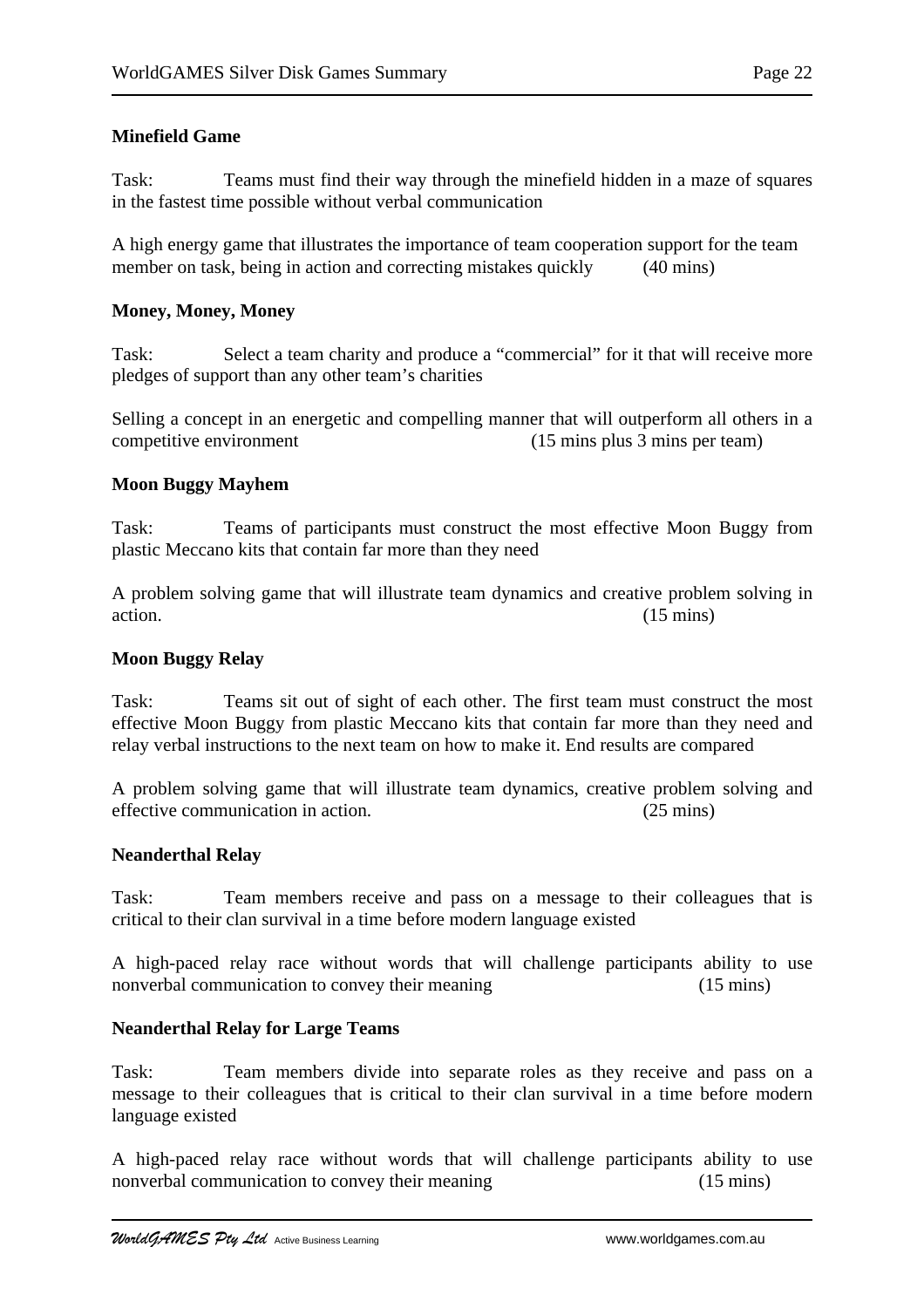## **Minefield Game**

Task: Teams must find their way through the minefield hidden in a maze of squares in the fastest time possible without verbal communication

A high energy game that illustrates the importance of team cooperation support for the team member on task, being in action and correcting mistakes quickly (40 mins)

### **Money, Money, Money**

Task: Select a team charity and produce a "commercial" for it that will receive more pledges of support than any other team's charities

Selling a concept in an energetic and compelling manner that will outperform all others in a competitive environment (15 mins plus 3 mins per team)

### **Moon Buggy Mayhem**

Task: Teams of participants must construct the most effective Moon Buggy from plastic Meccano kits that contain far more than they need

A problem solving game that will illustrate team dynamics and creative problem solving in action. (15 mins)

#### **Moon Buggy Relay**

Task: Teams sit out of sight of each other. The first team must construct the most effective Moon Buggy from plastic Meccano kits that contain far more than they need and relay verbal instructions to the next team on how to make it. End results are compared

A problem solving game that will illustrate team dynamics, creative problem solving and effective communication in action. (25 mins)

#### **Neanderthal Relay**

Task: Team members receive and pass on a message to their colleagues that is critical to their clan survival in a time before modern language existed

A high-paced relay race without words that will challenge participants ability to use nonverbal communication to convey their meaning (15 mins)

#### **Neanderthal Relay for Large Teams**

Task: Team members divide into separate roles as they receive and pass on a message to their colleagues that is critical to their clan survival in a time before modern language existed

A high-paced relay race without words that will challenge participants ability to use nonverbal communication to convey their meaning (15 mins)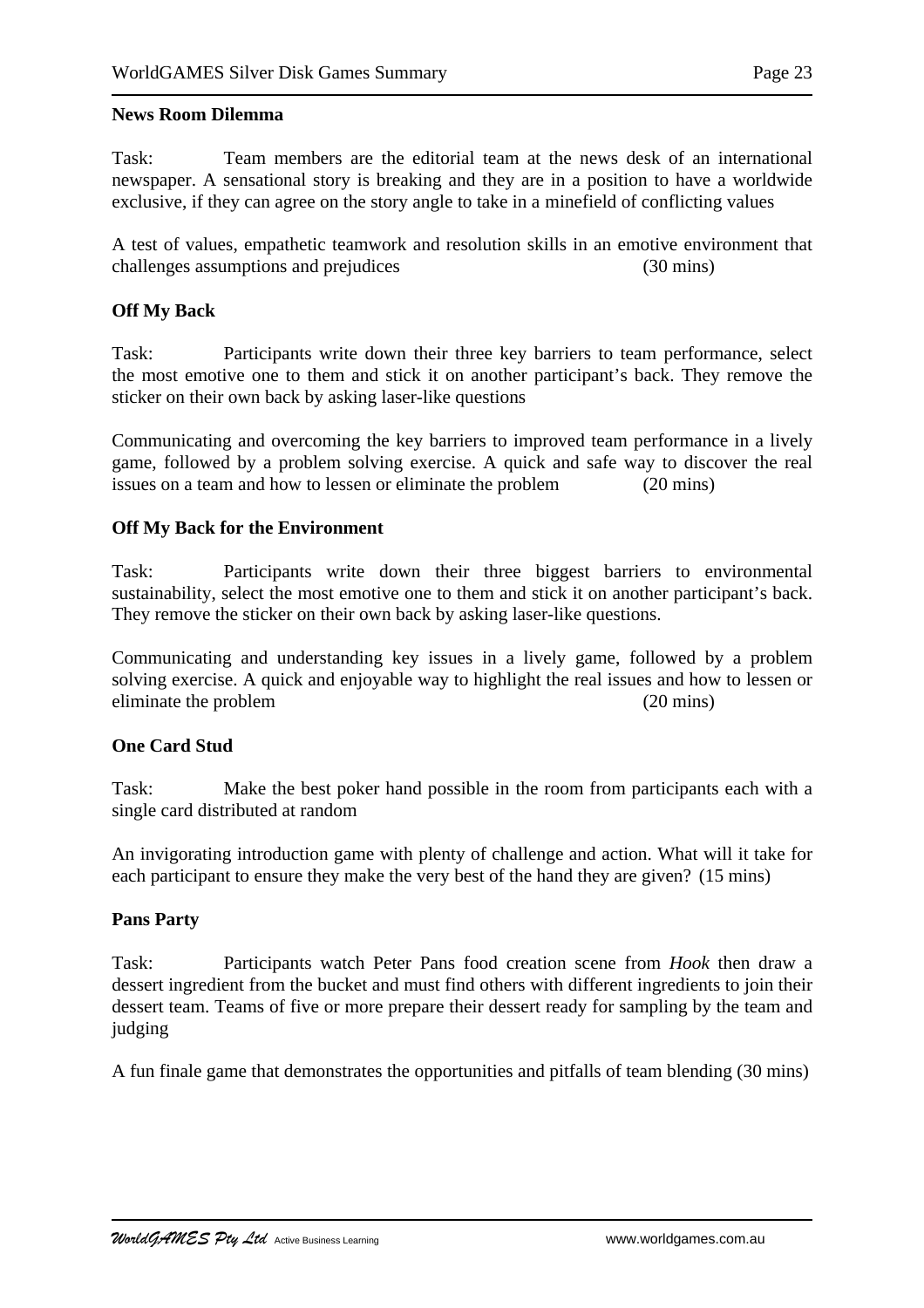#### **News Room Dilemma**

Task: Team members are the editorial team at the news desk of an international newspaper. A sensational story is breaking and they are in a position to have a worldwide exclusive, if they can agree on the story angle to take in a minefield of conflicting values

A test of values, empathetic teamwork and resolution skills in an emotive environment that challenges assumptions and prejudices (30 mins)

### **Off My Back**

Task: Participants write down their three key barriers to team performance, select the most emotive one to them and stick it on another participant's back. They remove the sticker on their own back by asking laser-like questions

Communicating and overcoming the key barriers to improved team performance in a lively game, followed by a problem solving exercise. A quick and safe way to discover the real issues on a team and how to lessen or eliminate the problem (20 mins)

### **Off My Back for the Environment**

Task: Participants write down their three biggest barriers to environmental sustainability, select the most emotive one to them and stick it on another participant's back. They remove the sticker on their own back by asking laser-like questions.

Communicating and understanding key issues in a lively game, followed by a problem solving exercise. A quick and enjoyable way to highlight the real issues and how to lessen or eliminate the problem (20 mins)

#### **One Card Stud**

Task: Make the best poker hand possible in the room from participants each with a single card distributed at random

An invigorating introduction game with plenty of challenge and action. What will it take for each participant to ensure they make the very best of the hand they are given? (15 mins)

### **Pans Party**

Task: Participants watch Peter Pans food creation scene from *Hook* then draw a dessert ingredient from the bucket and must find others with different ingredients to join their dessert team. Teams of five or more prepare their dessert ready for sampling by the team and judging

A fun finale game that demonstrates the opportunities and pitfalls of team blending (30 mins)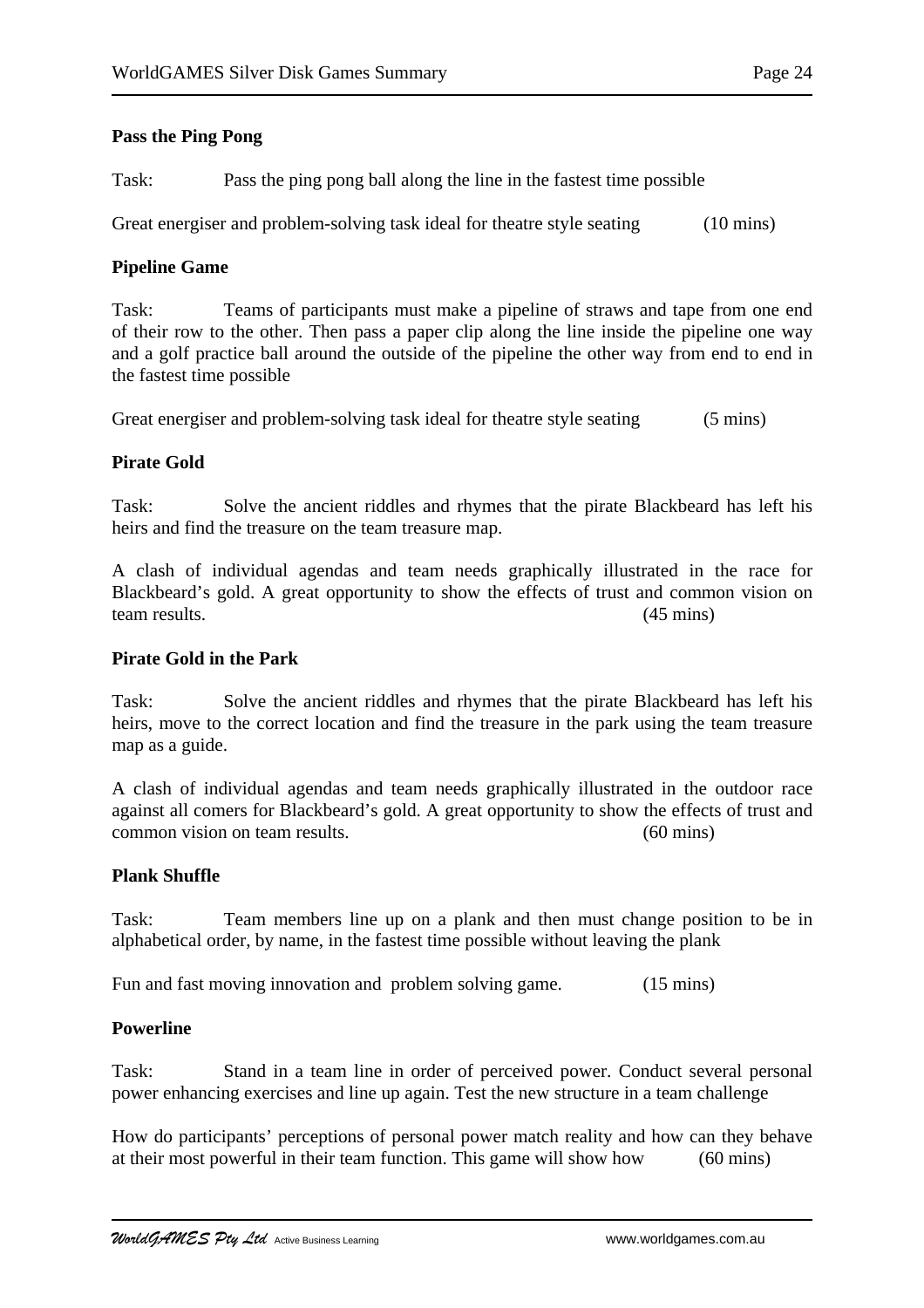### **Pass the Ping Pong**

Task: Pass the ping pong ball along the line in the fastest time possible

Great energiser and problem-solving task ideal for theatre style seating (10 mins)

### **Pipeline Game**

Task: Teams of participants must make a pipeline of straws and tape from one end of their row to the other. Then pass a paper clip along the line inside the pipeline one way and a golf practice ball around the outside of the pipeline the other way from end to end in the fastest time possible

Great energiser and problem-solving task ideal for theatre style seating (5 mins)

### **Pirate Gold**

Task: Solve the ancient riddles and rhymes that the pirate Blackbeard has left his heirs and find the treasure on the team treasure map.

A clash of individual agendas and team needs graphically illustrated in the race for Blackbeard's gold. A great opportunity to show the effects of trust and common vision on team results. (45 mins)

### **Pirate Gold in the Park**

Task: Solve the ancient riddles and rhymes that the pirate Blackbeard has left his heirs, move to the correct location and find the treasure in the park using the team treasure map as a guide.

A clash of individual agendas and team needs graphically illustrated in the outdoor race against all comers for Blackbeard's gold. A great opportunity to show the effects of trust and common vision on team results. (60 mins)

### **Plank Shuffle**

Task: Team members line up on a plank and then must change position to be in alphabetical order, by name, in the fastest time possible without leaving the plank

Fun and fast moving innovation and problem solving game. (15 mins)

### **Powerline**

Task: Stand in a team line in order of perceived power. Conduct several personal power enhancing exercises and line up again. Test the new structure in a team challenge

How do participants' perceptions of personal power match reality and how can they behave at their most powerful in their team function. This game will show how (60 mins)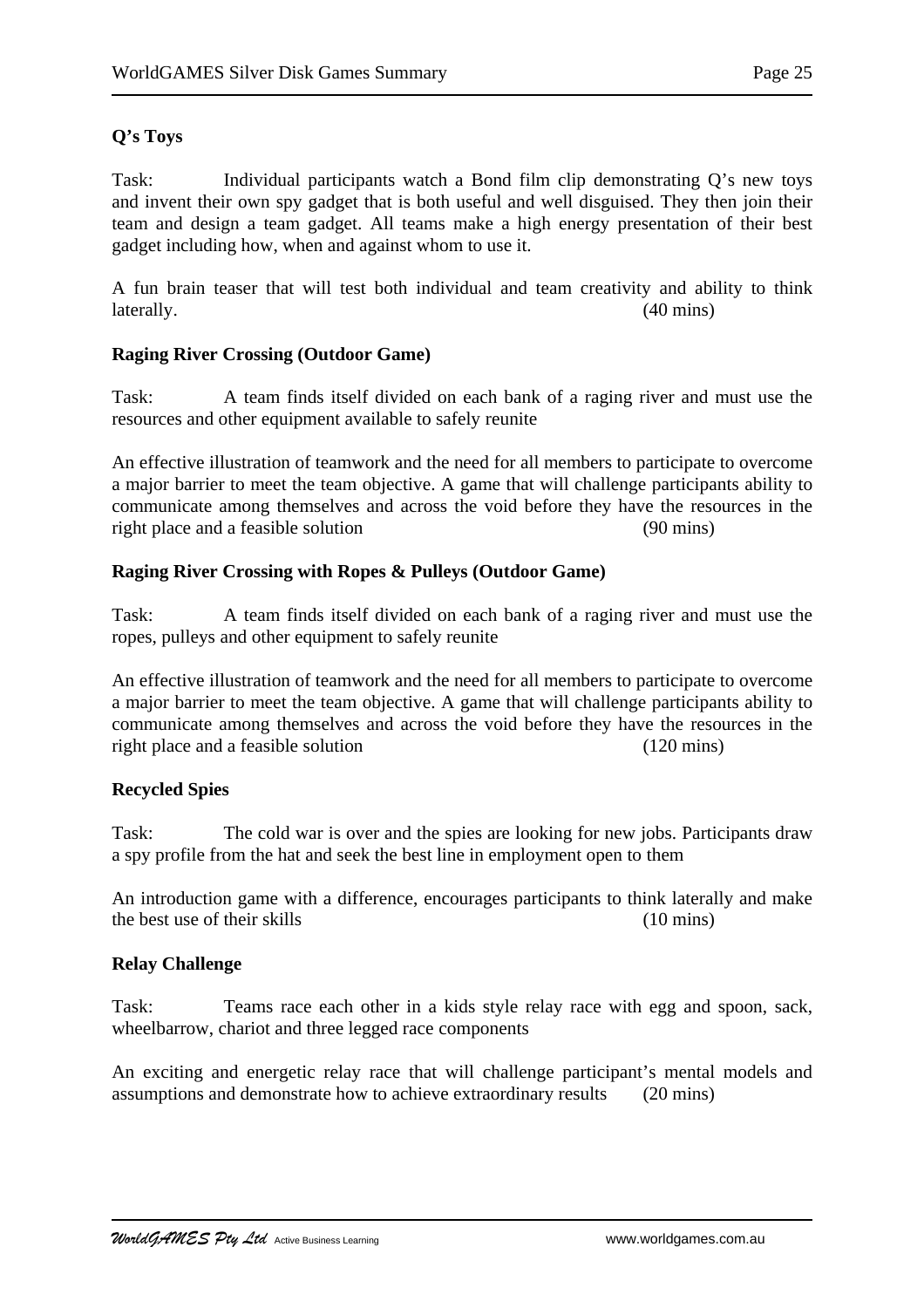# **Q's Toys**

Task: Individual participants watch a Bond film clip demonstrating Q's new toys and invent their own spy gadget that is both useful and well disguised. They then join their team and design a team gadget. All teams make a high energy presentation of their best gadget including how, when and against whom to use it.

A fun brain teaser that will test both individual and team creativity and ability to think laterally. (40 mins)

# **Raging River Crossing (Outdoor Game)**

Task: A team finds itself divided on each bank of a raging river and must use the resources and other equipment available to safely reunite

An effective illustration of teamwork and the need for all members to participate to overcome a major barrier to meet the team objective. A game that will challenge participants ability to communicate among themselves and across the void before they have the resources in the right place and a feasible solution (90 mins)

# **Raging River Crossing with Ropes & Pulleys (Outdoor Game)**

Task: A team finds itself divided on each bank of a raging river and must use the ropes, pulleys and other equipment to safely reunite

An effective illustration of teamwork and the need for all members to participate to overcome a major barrier to meet the team objective. A game that will challenge participants ability to communicate among themselves and across the void before they have the resources in the right place and a feasible solution (120 mins)

# **Recycled Spies**

Task: The cold war is over and the spies are looking for new jobs. Participants draw a spy profile from the hat and seek the best line in employment open to them

An introduction game with a difference, encourages participants to think laterally and make the best use of their skills (10 mins)

### **Relay Challenge**

Task: Teams race each other in a kids style relay race with egg and spoon, sack, wheelbarrow, chariot and three legged race components

An exciting and energetic relay race that will challenge participant's mental models and assumptions and demonstrate how to achieve extraordinary results (20 mins)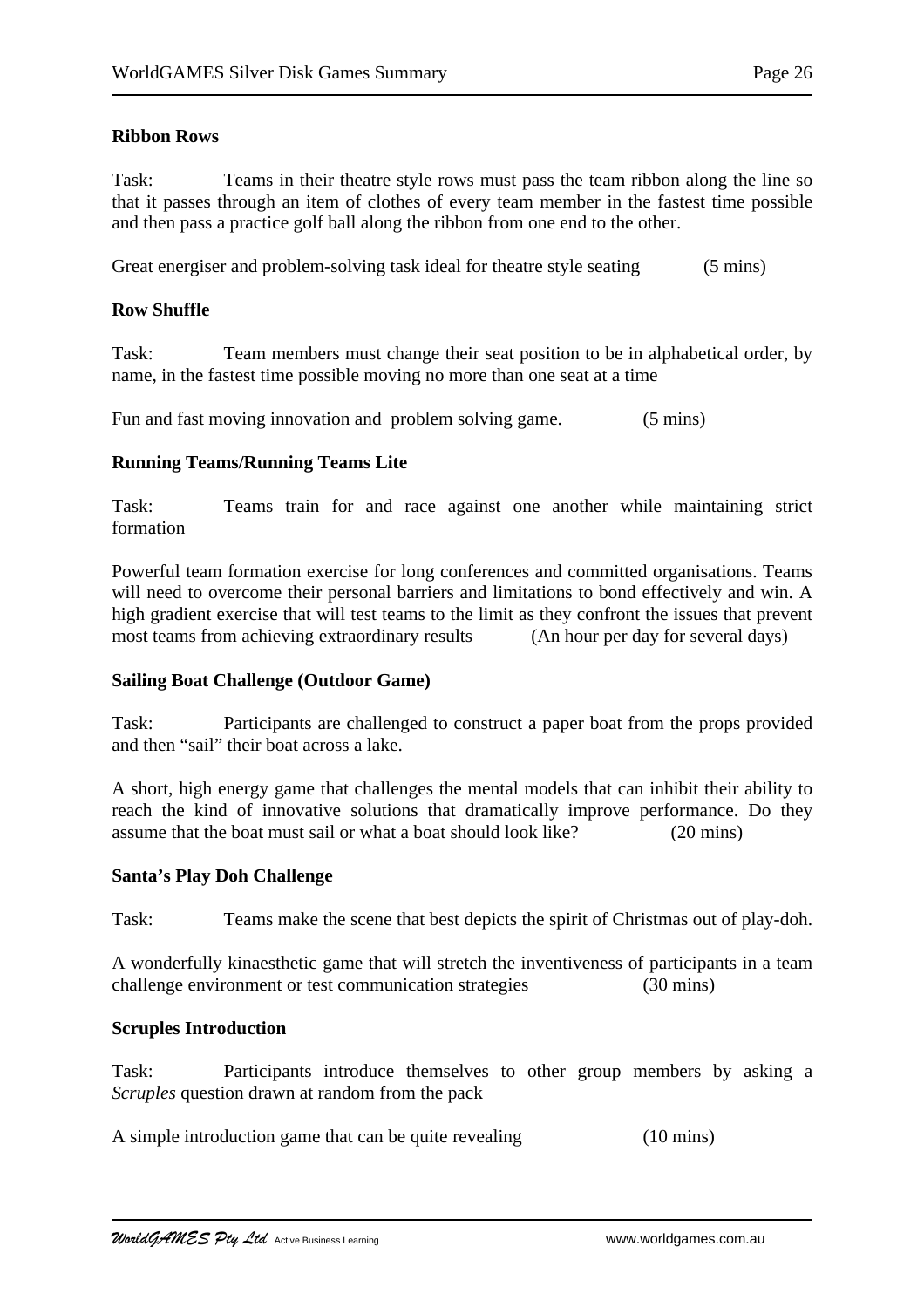# **Ribbon Rows**

Task: Teams in their theatre style rows must pass the team ribbon along the line so that it passes through an item of clothes of every team member in the fastest time possible and then pass a practice golf ball along the ribbon from one end to the other.

Great energiser and problem-solving task ideal for theatre style seating (5 mins)

## **Row Shuffle**

Task: Team members must change their seat position to be in alphabetical order, by name, in the fastest time possible moving no more than one seat at a time

Fun and fast moving innovation and problem solving game. (5 mins)

# **Running Teams/Running Teams Lite**

Task: Teams train for and race against one another while maintaining strict formation

Powerful team formation exercise for long conferences and committed organisations. Teams will need to overcome their personal barriers and limitations to bond effectively and win. A high gradient exercise that will test teams to the limit as they confront the issues that prevent most teams from achieving extraordinary results (An hour per day for several days)

### **Sailing Boat Challenge (Outdoor Game)**

Task: Participants are challenged to construct a paper boat from the props provided and then "sail" their boat across a lake.

A short, high energy game that challenges the mental models that can inhibit their ability to reach the kind of innovative solutions that dramatically improve performance. Do they assume that the boat must sail or what a boat should look like? (20 mins)

### **Santa's Play Doh Challenge**

Task: Teams make the scene that best depicts the spirit of Christmas out of play-doh.

A wonderfully kinaesthetic game that will stretch the inventiveness of participants in a team challenge environment or test communication strategies (30 mins)

### **Scruples Introduction**

Task: Participants introduce themselves to other group members by asking a *Scruples* question drawn at random from the pack

A simple introduction game that can be quite revealing (10 mins)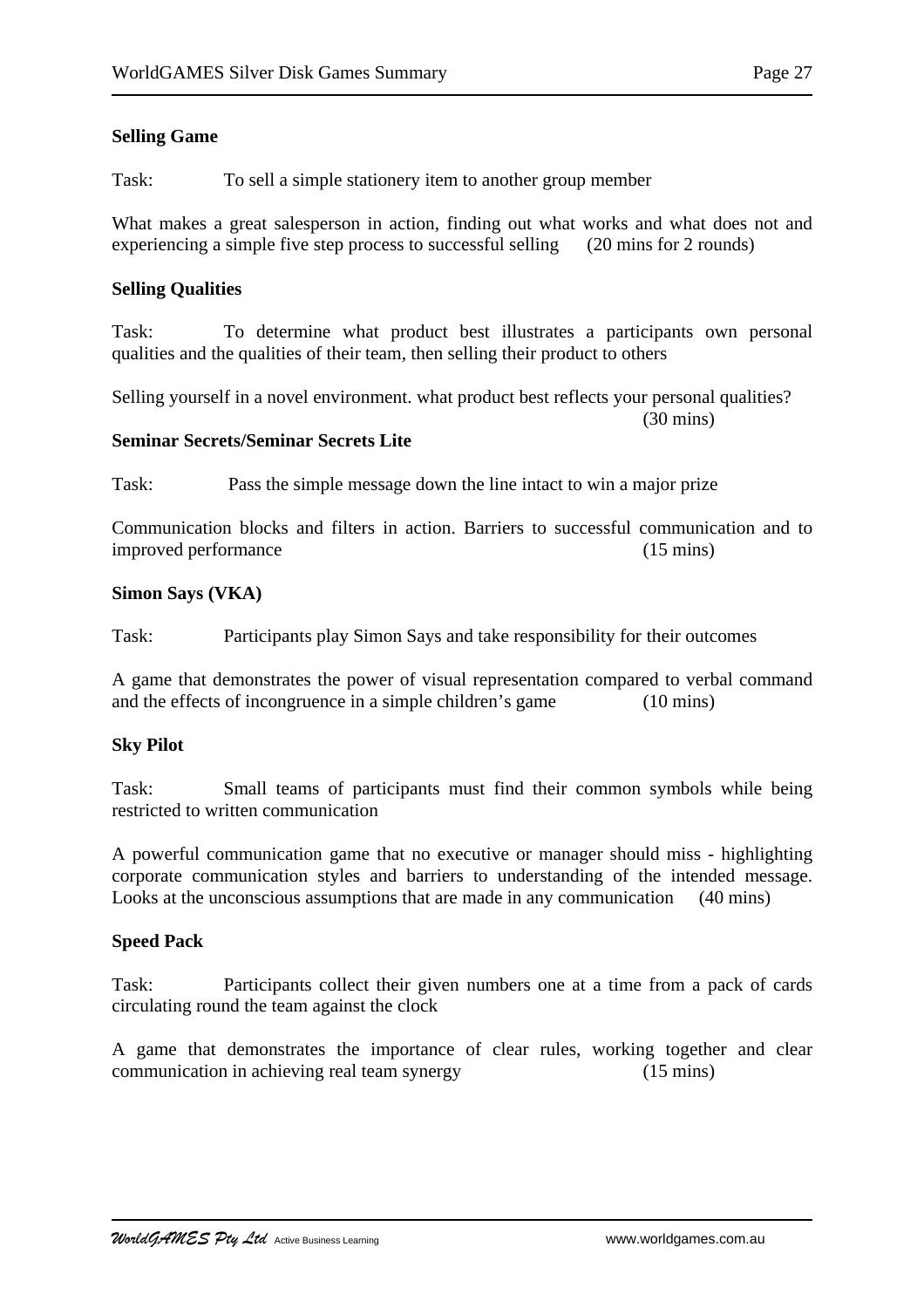# **Selling Game**

Task: To sell a simple stationery item to another group member

What makes a great salesperson in action, finding out what works and what does not and experiencing a simple five step process to successful selling (20 mins for 2 rounds)

### **Selling Qualities**

Task: To determine what product best illustrates a participants own personal qualities and the qualities of their team, then selling their product to others

Selling yourself in a novel environment. what product best reflects your personal qualities?

(30 mins)

### **Seminar Secrets/Seminar Secrets Lite**

Task: Pass the simple message down the line intact to win a major prize

Communication blocks and filters in action. Barriers to successful communication and to improved performance (15 mins)

### **Simon Says (VKA)**

Task: Participants play Simon Says and take responsibility for their outcomes

A game that demonstrates the power of visual representation compared to verbal command and the effects of incongruence in a simple children's game (10 mins)

### **Sky Pilot**

Task: Small teams of participants must find their common symbols while being restricted to written communication

A powerful communication game that no executive or manager should miss - highlighting corporate communication styles and barriers to understanding of the intended message. Looks at the unconscious assumptions that are made in any communication (40 mins)

### **Speed Pack**

Task: Participants collect their given numbers one at a time from a pack of cards circulating round the team against the clock

A game that demonstrates the importance of clear rules, working together and clear communication in achieving real team synergy (15 mins)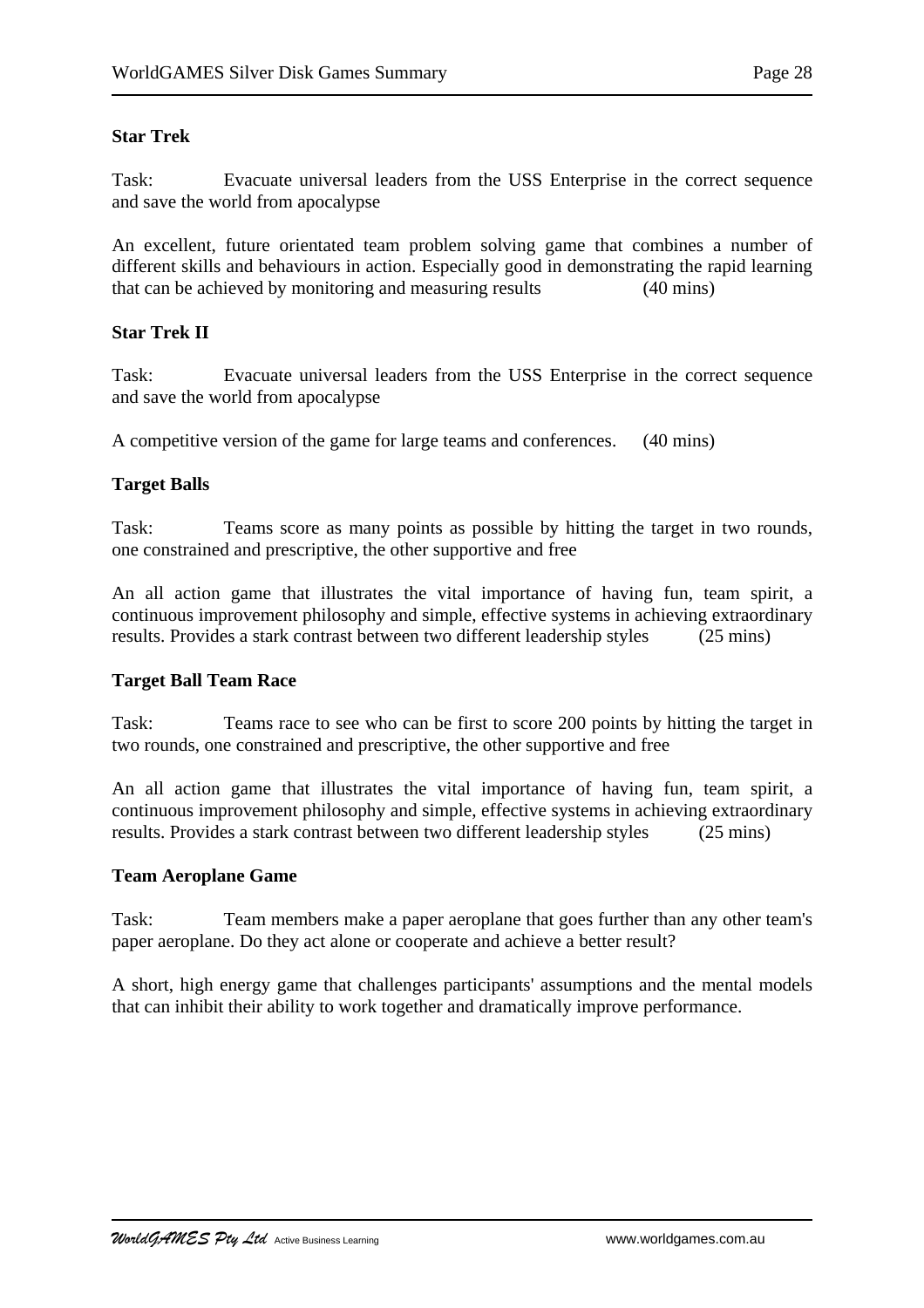## **Star Trek**

Task: Evacuate universal leaders from the USS Enterprise in the correct sequence and save the world from apocalypse

An excellent, future orientated team problem solving game that combines a number of different skills and behaviours in action. Especially good in demonstrating the rapid learning that can be achieved by monitoring and measuring results (40 mins)

### **Star Trek II**

Task: Evacuate universal leaders from the USS Enterprise in the correct sequence and save the world from apocalypse

A competitive version of the game for large teams and conferences. (40 mins)

# **Target Balls**

Task: Teams score as many points as possible by hitting the target in two rounds, one constrained and prescriptive, the other supportive and free

An all action game that illustrates the vital importance of having fun, team spirit, a continuous improvement philosophy and simple, effective systems in achieving extraordinary results. Provides a stark contrast between two different leadership styles (25 mins)

# **Target Ball Team Race**

Task: Teams race to see who can be first to score 200 points by hitting the target in two rounds, one constrained and prescriptive, the other supportive and free

An all action game that illustrates the vital importance of having fun, team spirit, a continuous improvement philosophy and simple, effective systems in achieving extraordinary results. Provides a stark contrast between two different leadership styles (25 mins)

### **Team Aeroplane Game**

Task: Team members make a paper aeroplane that goes further than any other team's paper aeroplane. Do they act alone or cooperate and achieve a better result?

A short, high energy game that challenges participants' assumptions and the mental models that can inhibit their ability to work together and dramatically improve performance.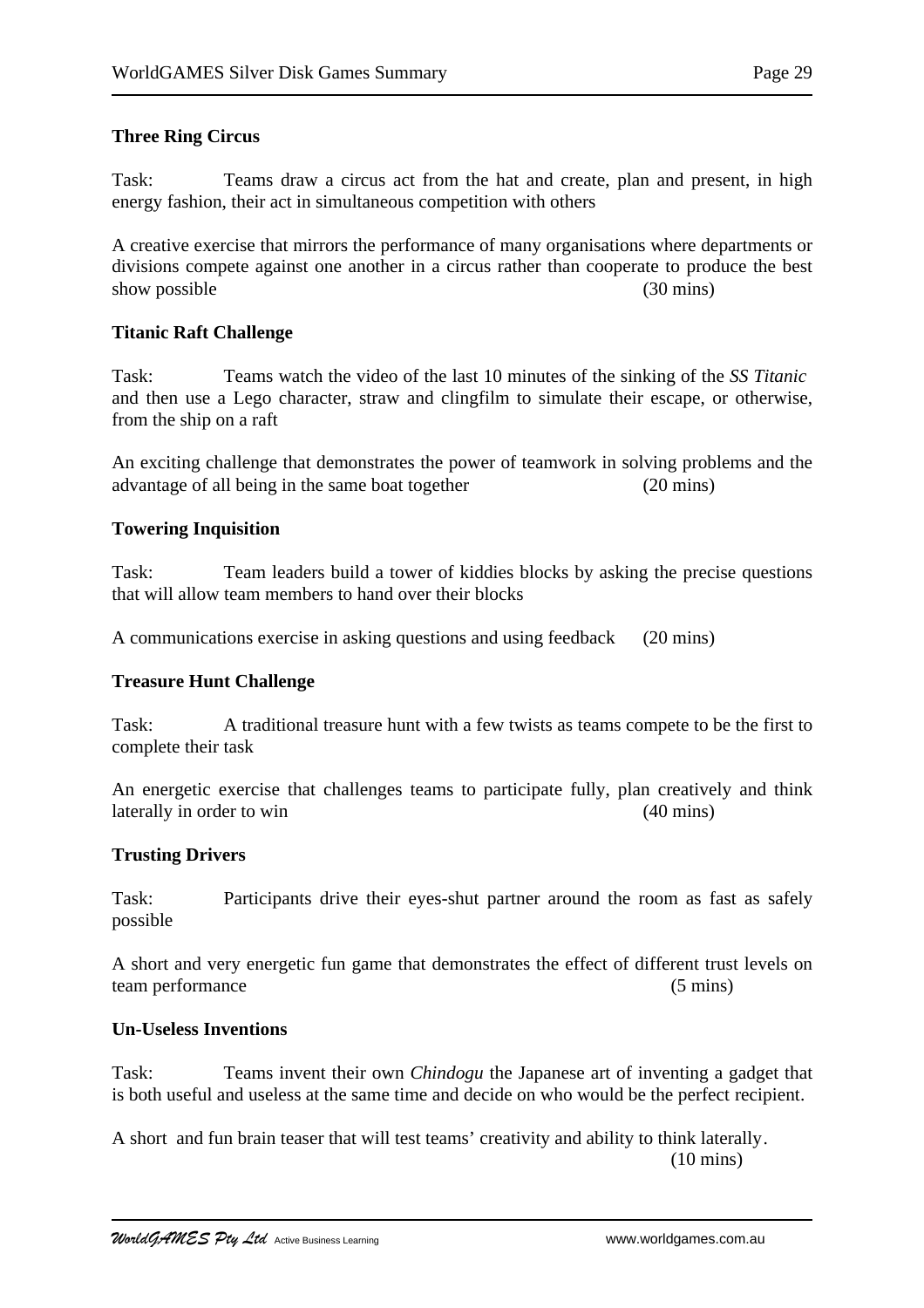## **Three Ring Circus**

Task: Teams draw a circus act from the hat and create, plan and present, in high energy fashion, their act in simultaneous competition with others

A creative exercise that mirrors the performance of many organisations where departments or divisions compete against one another in a circus rather than cooperate to produce the best show possible (30 mins) (30 mins)

### **Titanic Raft Challenge**

Task: Teams watch the video of the last 10 minutes of the sinking of the *SS Titanic* and then use a Lego character, straw and clingfilm to simulate their escape, or otherwise, from the ship on a raft

An exciting challenge that demonstrates the power of teamwork in solving problems and the advantage of all being in the same boat together (20 mins)

# **Towering Inquisition**

Task: Team leaders build a tower of kiddies blocks by asking the precise questions that will allow team members to hand over their blocks

A communications exercise in asking questions and using feedback (20 mins)

### **Treasure Hunt Challenge**

Task: A traditional treasure hunt with a few twists as teams compete to be the first to complete their task

An energetic exercise that challenges teams to participate fully, plan creatively and think laterally in order to win (40 mins)

### **Trusting Drivers**

Task: Participants drive their eyes-shut partner around the room as fast as safely possible

A short and very energetic fun game that demonstrates the effect of different trust levels on team performance (5 mins)

### **Un-Useless Inventions**

Task: Teams invent their own *Chindogu* the Japanese art of inventing a gadget that is both useful and useless at the same time and decide on who would be the perfect recipient.

A short and fun brain teaser that will test teams' creativity and ability to think laterally. (10 mins)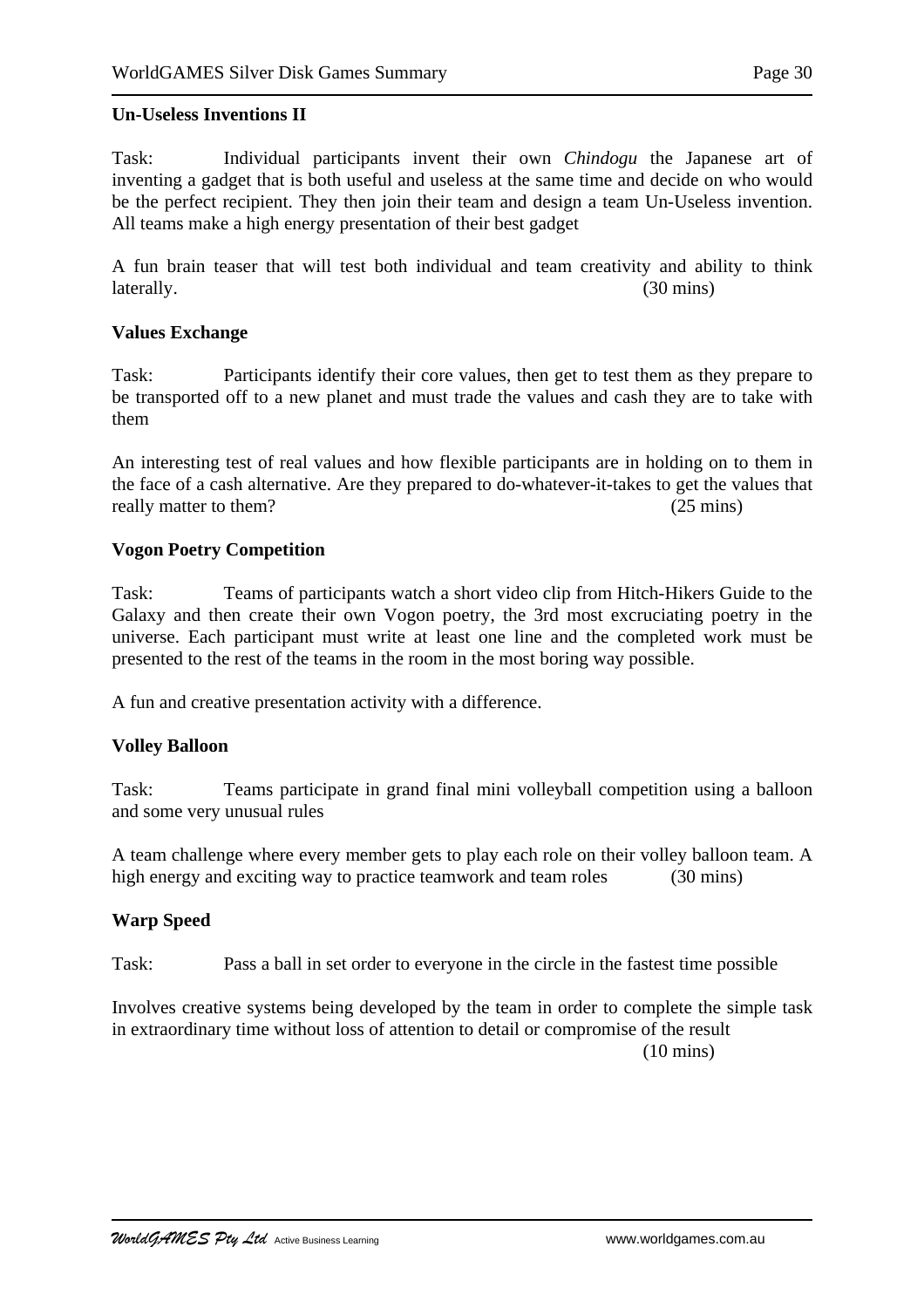### **Un-Useless Inventions II**

Task: Individual participants invent their own *Chindogu* the Japanese art of inventing a gadget that is both useful and useless at the same time and decide on who would be the perfect recipient. They then join their team and design a team Un-Useless invention. All teams make a high energy presentation of their best gadget

A fun brain teaser that will test both individual and team creativity and ability to think laterally. (30 mins)

### **Values Exchange**

Task: Participants identify their core values, then get to test them as they prepare to be transported off to a new planet and must trade the values and cash they are to take with them

An interesting test of real values and how flexible participants are in holding on to them in the face of a cash alternative. Are they prepared to do-whatever-it-takes to get the values that really matter to them? (25 mins)

### **Vogon Poetry Competition**

Task: Teams of participants watch a short video clip from Hitch-Hikers Guide to the Galaxy and then create their own Vogon poetry, the 3rd most excruciating poetry in the universe. Each participant must write at least one line and the completed work must be presented to the rest of the teams in the room in the most boring way possible.

A fun and creative presentation activity with a difference.

### **Volley Balloon**

Task: Teams participate in grand final mini volleyball competition using a balloon and some very unusual rules

A team challenge where every member gets to play each role on their volley balloon team. A high energy and exciting way to practice teamwork and team roles (30 mins)

### **Warp Speed**

Task: Pass a ball in set order to everyone in the circle in the fastest time possible

Involves creative systems being developed by the team in order to complete the simple task in extraordinary time without loss of attention to detail or compromise of the result (10 mins)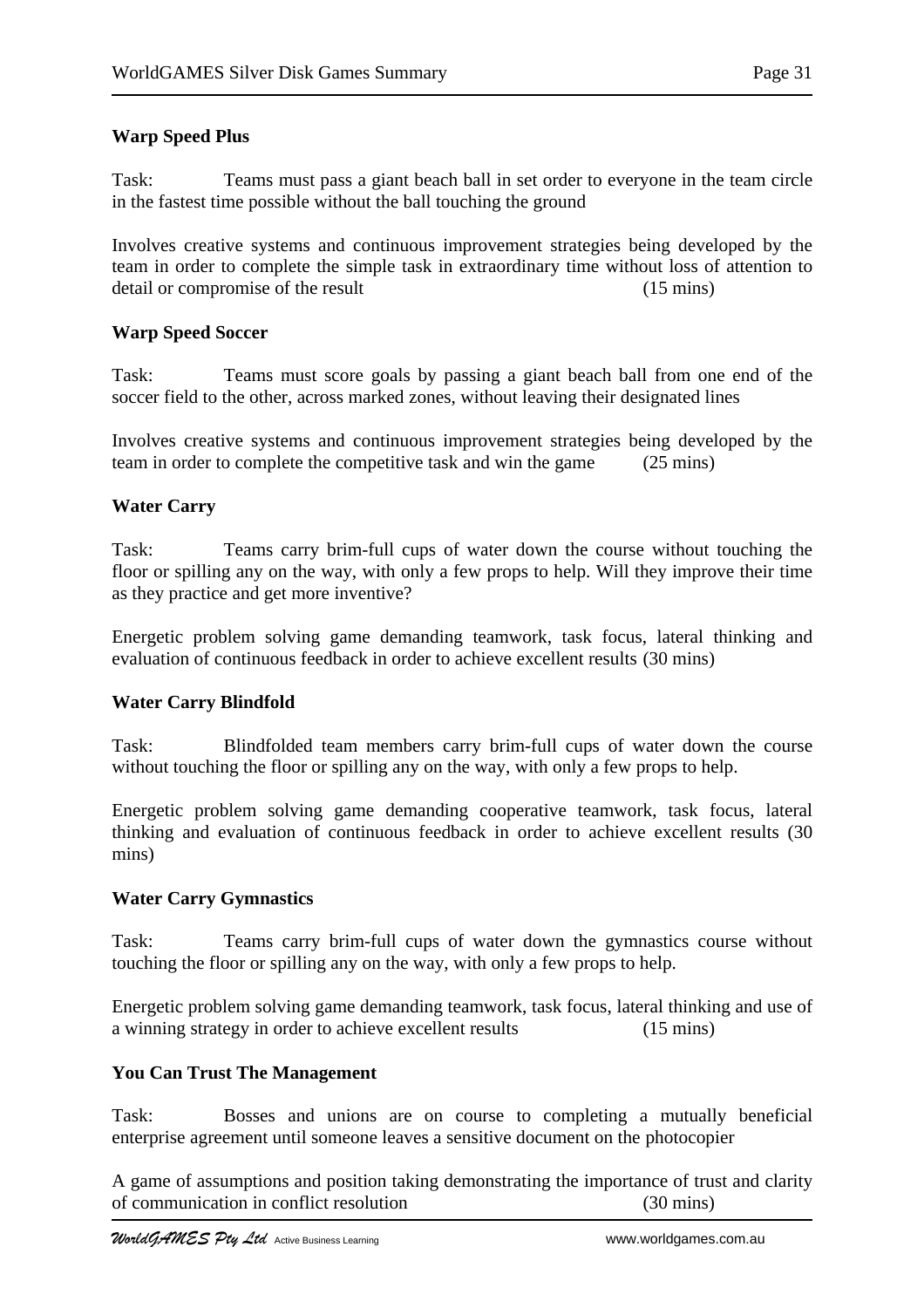# **Warp Speed Plus**

Task: Teams must pass a giant beach ball in set order to everyone in the team circle in the fastest time possible without the ball touching the ground

Involves creative systems and continuous improvement strategies being developed by the team in order to complete the simple task in extraordinary time without loss of attention to detail or compromise of the result (15 mins)

# **Warp Speed Soccer**

Task: Teams must score goals by passing a giant beach ball from one end of the soccer field to the other, across marked zones, without leaving their designated lines

Involves creative systems and continuous improvement strategies being developed by the team in order to complete the competitive task and win the game (25 mins)

# **Water Carry**

Task: Teams carry brim-full cups of water down the course without touching the floor or spilling any on the way, with only a few props to help. Will they improve their time as they practice and get more inventive?

Energetic problem solving game demanding teamwork, task focus, lateral thinking and evaluation of continuous feedback in order to achieve excellent results (30 mins)

# **Water Carry Blindfold**

Task: Blindfolded team members carry brim-full cups of water down the course without touching the floor or spilling any on the way, with only a few props to help.

Energetic problem solving game demanding cooperative teamwork, task focus, lateral thinking and evaluation of continuous feedback in order to achieve excellent results (30 mins)

# **Water Carry Gymnastics**

Task: Teams carry brim-full cups of water down the gymnastics course without touching the floor or spilling any on the way, with only a few props to help.

Energetic problem solving game demanding teamwork, task focus, lateral thinking and use of a winning strategy in order to achieve excellent results (15 mins)

### **You Can Trust The Management**

Task: Bosses and unions are on course to completing a mutually beneficial enterprise agreement until someone leaves a sensitive document on the photocopier

A game of assumptions and position taking demonstrating the importance of trust and clarity of communication in conflict resolution (30 mins)